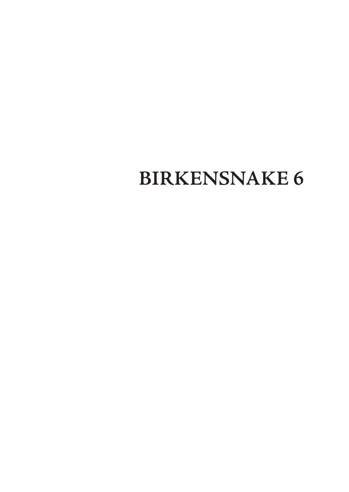## **BIRKENSNAKE 6**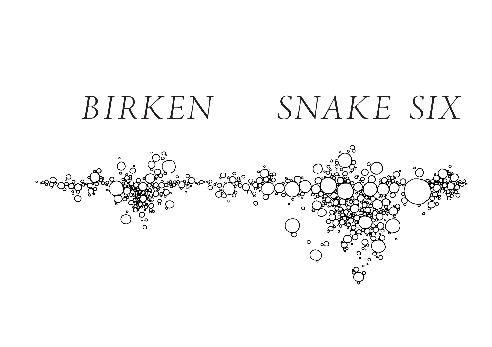# *B I RKEN SNAKE SIX*

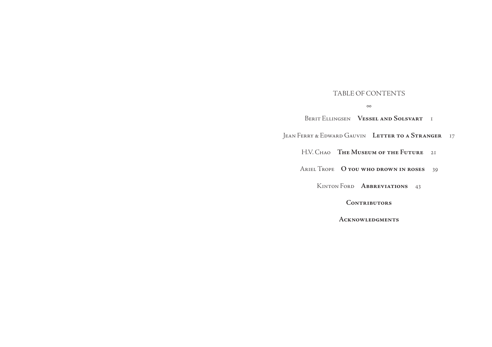#### table of contents

#### ∞

Berit Ellingsen **Vessel and Solsvart** 1 Jean Ferry & Edward Gauvin **Letter to a Stranger** 17 H.V. Chao **The Museum of the Future** 21 Ariel Trope **O you who drown in roses** 39 Kinton Ford **Abbreviations** 43

**Contributors**

**Acknowledgments**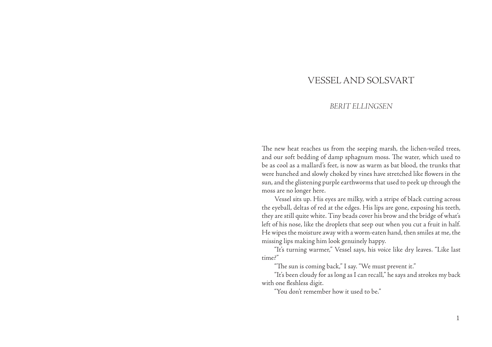## VESSEL AND SOLSVART

## *BERIT ELLINGSEN*

The new heat reaches us from the seeping marsh, the lichen-veiled trees, and our soft bedding of damp sphagnum moss. The water, which used to be as cool as a mallard's feet, is now as warm as bat blood, the trunks that were hunched and slowly choked by vines have stretched like flowers in the sun, and the glistening purple earthworms that used to peek up through the moss are no longer here.

Vessel sits up. His eyes are milky, with a stripe of black cutting across the eyeball, deltas of red at the edges. His lips are gone, exposing his teeth, they are still quite white. Tiny beads cover his brow and the bridge of what's left of his nose, like the droplets that seep out when you cut a fruit in half. He wipes the moisture away with a worm-eaten hand, then smiles at me, the missing lips making him look genuinely happy.

"It's turning warmer," Vessel says, his voice like dry leaves. "Like last time?"

"The sun is coming back," I say. "We must prevent it."

"It's been cloudy for as long as I can recall," he says and strokes my back with one fleshless digit.

"You don't remember how it used to be."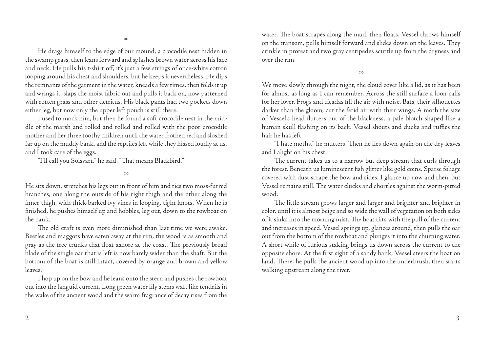He drags himself to the edge of our mound, a crocodile nest hidden in the swamp grass, then leans forward and splashes brown water across his face and neck. He pulls his t-shirt off, it's just a few strings of once-white cotton looping around his chest and shoulders, but he keeps it nevertheless. He dips the remnants of the garment in the water, kneads a few times, then folds it up and wrings it, slaps the moist fabric out and pulls it back on, now patterned with rotten grass and other detritus. His black pants had two pockets down either leg, but now only the upper left pouch is still there.

I used to mock him, but then he found a soft crocodile nest in the middle of the marsh and rolled and rolled and rolled with the poor crocodile mother and her three toothy children until the water frothed red and sloshed far up on the muddy bank, and the reptiles left while they hissed loudly at us, and I took care of the eggs.

"I'll call you Solsvart," he said. "That means Blackbird."

∞

He sits down, stretches his legs out in front of him and ties two moss-furred branches, one along the outside of his right thigh and the other along the inner thigh, with thick-barked ivy vines in looping, tight knots. When he is finished, he pushes himself up and hobbles, leg out, down to the rowboat on the bank.

The old craft is even more diminished than last time we were awake. Beetles and maggots have eaten away at the rim, the wood is as smooth and gray as the tree trunks that float ashore at the coast. The previously broad blade of the single oar that is left is now barely wider than the shaft. But the bottom of the boat is still intact, covered by orange and brown and yellow leaves.

I hop up on the bow and he leans onto the stern and pushes the rowboat out into the languid current. Long green water lily stems waft like tendrils in the wake of the ancient wood and the warm fragrance of decay rises from the

water. The boat scrapes along the mud, then floats. Vessel throws himself on the transom, pulls himself forward and slides down on the leaves. They crinkle in protest and two gray centipedes scuttle up from the dryness and over the rim.

∞

We move slowly through the night, the cloud cover like a lid, as it has been for almost as long as I can remember. Across the still surface a loon calls for her lover. Frogs and cicadas fill the air with noise. Bats, their silhouettes darker than the gloom, cut the fetid air with their wings. A moth the size of Vessel's head flutters out of the blackness, a pale blotch shaped like a human skull flashing on its back. Vessel shouts and ducks and ruffles the hair he has left.

"I hate moths," he mutters. Then he lies down again on the dry leaves and I alight on his chest.

The current takes us to a narrow but deep stream that curls through the forest. Beneath us luminescent fish glitter like gold coins. Sparse foliage covered with dust scrape the bow and sides. I glance up now and then, but Vessel remains still. The water clucks and chortles against the worm-pitted wood.

The little stream grows larger and larger and brighter and brighter in color, until it is almost beige and so wide the wall of vegetation on both sides of it sinks into the morning mist. The boat tilts with the pull of the current and increases in speed. Vessel springs up, glances around, then pulls the oar out from the bottom of the rowboat and plunges it into the churning water. A short while of furious staking brings us down across the current to the opposite shore. At the first sight of a sandy bank, Vessel steers the boat on land. There, he pulls the ancient wood up into the underbrush, then starts walking upstream along the river.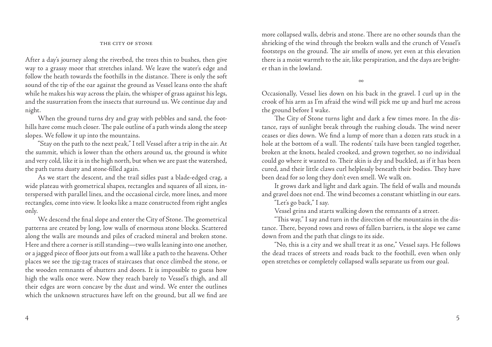#### THE CITY OF STONE

After a day's journey along the riverbed, the trees thin to bushes, then give way to a grassy moor that stretches inland. We leave the water's edge and follow the heath towards the foothills in the distance. There is only the soft sound of the tip of the oar against the ground as Vessel leans onto the shaft while he makes his way across the plain, the whisper of grass against his legs, and the susurration from the insects that surround us. We continue day and night.

When the ground turns dry and gray with pebbles and sand, the foothills have come much closer. The pale outline of a path winds along the steep slopes. We follow it up into the mountains.

"Stay on the path to the next peak," I tell Vessel after a trip in the air. At the summit, which is lower than the others around us, the ground is white and very cold, like it is in the high north, but when we are past the watershed, the path turns dusty and stone-filled again.

As we start the descent, and the trail sidles past a blade-edged crag, a wide plateau with geometrical shapes, rectangles and squares of all sizes, interspersed with parallel lines, and the occasional circle, more lines, and more rectangles, come into view. It looks like a maze constructed from right angles only.

We descend the final slope and enter the City of Stone. The geometrical patterns are created by long, low walls of enormous stone blocks. Scattered along the walls are mounds and piles of cracked mineral and broken stone. Here and there a corner is still standing—two walls leaning into one another, or a jagged piece of floor juts out from a wall like a path to the heavens. Other places we see the zig-zag traces of staircases that once climbed the stone, or the wooden remnants of shutters and doors. It is impossible to guess how high the walls once were. Now they reach barely to Vessel's thigh, and all their edges are worn concave by the dust and wind. We enter the outlines which the unknown structures have left on the ground, but all we find are

more collapsed walls, debris and stone. There are no other sounds than the shrieking of the wind through the broken walls and the crunch of Vessel's footsteps on the ground. The air smells of snow, yet even at this elevation there is a moist warmth to the air, like perspiration, and the days are brighter than in the lowland.

∞

Occasionally, Vessel lies down on his back in the gravel. I curl up in the crook of his arm as I'm afraid the wind will pick me up and hurl me across the ground before I wake.

The City of Stone turns light and dark a few times more. In the distance, rays of sunlight break through the rushing clouds. The wind never ceases or dies down. We find a lump of more than a dozen rats stuck in a hole at the bottom of a wall. The rodents' tails have been tangled together, broken at the knots, healed crooked, and grown together, so no individual could go where it wanted to. Their skin is dry and buckled, as if it has been cured, and their little claws curl helplessly beneath their bodies. They have been dead for so long they don't even smell. We walk on.

It grows dark and light and dark again. The field of walls and mounds and gravel does not end. The wind becomes a constant whistling in our ears.

"Let's go back," I say.

Vessel grins and starts walking down the remnants of a street.

"This way," I say and turn in the direction of the mountains in the distance. There, beyond rows and rows of fallen barriers, is the slope we came down from and the path that clings to its side.

"No, this is a city and we shall treat it as one," Vessel says. He follows the dead traces of streets and roads back to the foothill, even when only open stretches or completely collapsed walls separate us from our goal.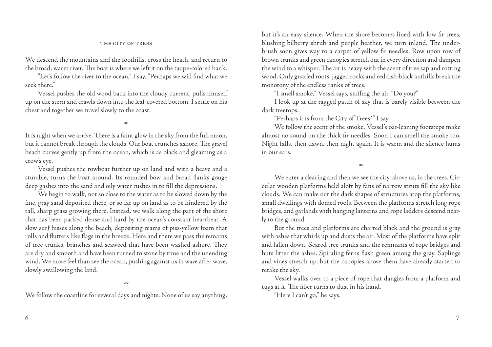#### THE CITY OF TREES

We descend the mountains and the foothills, cross the heath, and return to the broad, warm river. The boat is where we left it on the taupe-colored bank.

"Let's follow the river to the ocean," I say. "Perhaps we will find what we seek there."

Vessel pushes the old wood back into the cloudy current, pulls himself up on the stern and crawls down into the leaf-covered bottom. I settle on his chest and together we travel slowly to the coast.

∞

It is night when we arrive. There is a faint glow in the sky from the full moon, but it cannot break through the clouds. Our boat crunches ashore. The gravel beach curves gently up from the ocean, which is as black and gleaming as a crow's eye.

Vessel pushes the rowboat further up on land and with a heave and a stumble, turns the boat around. Its rounded bow and broad flanks gouge deep gashes into the sand and oily water rushes in to fill the depressions.

We begin to walk, not so close to the water as to be slowed down by the fine, gray sand deposited there, or so far up on land as to be hindered by the tall, sharp grass growing there. Instead, we walk along the part of the shore that has been packed dense and hard by the ocean's constant heartbeat. A slow surf hisses along the beach, depositing reams of piss-yellow foam that rolls and flutters like flags in the breeze. Here and there we pass the remains of tree trunks, branches and seaweed that have been washed ashore. They are dry and smooth and have been turned to stone by time and the unending wind. We more feel than see the ocean, pushing against us in wave after wave, slowly swallowing the land.

∞

We follow the coastline for several days and nights. None of us say anything,

but it's an easy silence. When the shore becomes lined with low fir trees, blushing bilberry shrub and purple heather, we turn inland. The underbrush soon gives way to a carpet of yellow fir needles. Row upon row of brown trunks and green canopies stretch out in every direction and dampen the wind to a whisper. The air is heavy with the scent of tree sap and rotting wood. Only gnarled roots, jagged rocks and reddish-black anthills break the monotony of the endless ranks of trees.

"I smell smoke," Vessel says, sniffing the air. "Do you?"

I look up at the ragged patch of sky that is barely visible between the dark treetops.

"Perhaps it is from the City of Trees?" I say.

We follow the scent of the smoke. Vessel's oar-leaning footsteps make almost no sound on the thick fir needles. Soon I can smell the smoke too. Night falls, then dawn, then night again. It is warm and the silence hums in our ears.

∞

We enter a clearing and then we see the city, above us, in the trees. Circular wooden platforms held aloft by fans of narrow struts fill the sky like clouds. We can make out the dark shapes of structures atop the platforms, small dwellings with domed roofs. Between the platforms stretch long rope bridges, and garlands with hanging lanterns and rope ladders descend nearly to the ground.

But the trees and platforms are charred black and the ground is gray with ashes that whirls up and dusts the air. Most of the platforms have split and fallen down. Seared tree trunks and the remnants of rope bridges and huts litter the ashes. Spiraling ferns flash green among the gray. Saplings and vines stretch up, but the canopies above them have already started to retake the sky.

Vessel walks over to a piece of rope that dangles from a platform and tugs at it. The fiber turns to dust in his hand.

"Here I can't go," he says.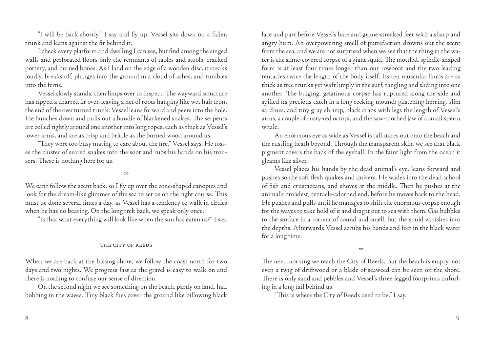"I will be back shortly," I say and fly up. Vessel sits down on a fallen trunk and leans against the fir behind it.

I check every platform and dwelling I can see, but find among the singed walls and perforated floors only the remnants of tables and stools, cracked pottery, and burned bones. As I land on the edge of a wooden disc, it creaks loudly, breaks off, plunges into the ground in a cloud of ashes, and tumbles into the ferns.

Vessel slowly stands, then limps over to inspect. The wayward structure has tipped a charred fir over, leaving a net of roots hanging like wet hair from the end of the overturned trunk. Vessel leans forward and peers into the hole. He hunches down and pulls out a bundle of blackened snakes. The serpents are coiled tightly around one another into long ropes, each as thick as Vessel's lower arms, and are as crisp and brittle as the burned wood around us.

"They were too busy mating to care about the fire," Vessel says. He tosses the cluster of seared snakes into the soot and rubs his hands on his trousers. There is nothing here for us.

∞

We can't follow the scent back, so I fly up over the cone-shaped canopies and look for the dream-like glimmer of the sea to set us on the right course. This must be done several times a day, as Vessel has a tendency to walk in circles when he has no bearing. On the long trek back, we speak only once.

"Is that what everything will look like when the sun has eaten us?" I say.

#### the city of reeds

When we are back at the hissing shore, we follow the coast north for two days and two nights. We progress fast as the gravel is easy to walk on and there is nothing to confuse our sense of direction.

On the second night we see something on the beach, partly on land, half bobbing in the waves. Tiny black flies cover the ground like billowing black lace and part before Vessel's bare and grime-streaked feet with a sharp and angry hum. An overpowering smell of putrefaction drowns out the scent from the sea, and we are not surprised when we see that the thing in the water is the slime-covered corpse of a giant squid. The mottled, spindle-shaped form is at least four times longer than our rowboat and the two leading tentacles twice the length of the body itself. Its ten muscular limbs are as thick as tree trunks yet waft limply in the surf, tangling and sliding into one another. The bulging, gelatinous corpse has ruptured along the side and spilled its precious catch in a long reeking mound; glistening herring, slim sardines, and tiny gray shrimp, black crabs with legs the length of Vessel's arms, a couple of rusty-red octopi, and the saw-toothed jaw of a small sperm whale.

An enormous eye as wide as Vessel is tall stares out onto the beach and the rustling heath beyond. Through the transparent skin, we see that black pigment covers the back of the eyeball. In the faint light from the ocean it gleams like silver.

Vessel places his hands by the dead animal's eye, leans forward and pushes so the soft flesh quakes and quivers. He wades into the dead school of fish and crustaceans, and shoves at the middle. Then he pushes at the animal's broadest, tentacle-adorned end, before he moves back to the head. He pushes and pulls until he manages to shift the enormous corpse enough for the waves to take hold of it and drag it out to sea with them. Gas bubbles to the surface in a torrent of sound and smell, but the squid vanishes into the depths. Afterwards Vessel scrubs his hands and feet in the black water for a long time.

∞

The next morning we reach the City of Reeds. But the beach is empty, not even a twig of driftwood or a blade of seaweed can be seen on the shore. There is only sand and pebbles and Vessel's three-legged footprints unfurling in a long tail behind us.

"This is where the City of Reeds used to be," I say.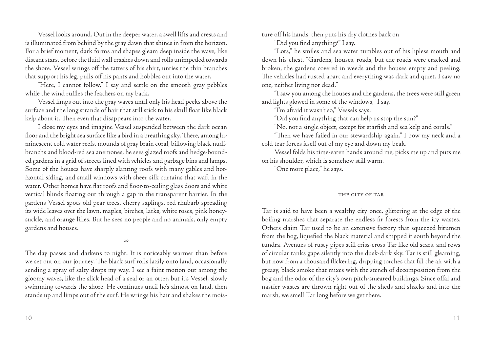Vessel looks around. Out in the deeper water, a swell lifts and crests and is illuminated from behind by the gray dawn that shines in from the horizon. For a brief moment, dark forms and shapes gleam deep inside the wave, like distant stars, before the fluid wall crashes down and rolls unimpeded towards the shore. Vessel wrings off the tatters of his shirt, unties the thin branches that support his leg, pulls off his pants and hobbles out into the water.

"Here, I cannot follow," I say and settle on the smooth gray pebbles while the wind ruffles the feathers on my back.

Vessel limps out into the gray waves until only his head peeks above the surface and the long strands of hair that still stick to his skull float like black kelp about it. Then even that disappears into the water.

I close my eyes and imagine Vessel suspended between the dark ocean floor and the bright sea surface like a bird in a breathing sky. There, among luminescent cold water reefs, mounds of gray brain coral, billowing black nudibranchs and blood-red sea anemones, he sees glazed roofs and hedge-bounded gardens in a grid of streets lined with vehicles and garbage bins and lamps. Some of the houses have sharply slanting roofs with many gables and horizontal siding, and small windows with sheer silk curtains that waft in the water. Other homes have flat roofs and floor-to-ceiling glass doors and white vertical blinds floating out through a gap in the transparent barrier. In the gardens Vessel spots old pear trees, cherry saplings, red rhubarb spreading its wide leaves over the lawn, maples, birches, larks, white roses, pink honeysuckle, and orange lilies. But he sees no people and no animals, only empty gardens and houses.

∞

The day passes and darkens to night. It is noticeably warmer than before we set out on our journey. The black surf rolls lazily onto land, occasionally sending a spray of salty drops my way. I see a faint motion out among the gloomy waves, like the slick head of a seal or an otter, but it's Vessel, slowly swimming towards the shore. He continues until he's almost on land, then stands up and limps out of the surf. He wrings his hair and shakes the moisture off his hands, then puts his dry clothes back on.

"Did you find anything?" I say.

"Lots," he smiles and sea water tumbles out of his lipless mouth and down his chest. "Gardens, houses, roads, but the roads were cracked and broken, the gardens covered in weeds and the houses empty and peeling. The vehicles had rusted apart and everything was dark and quiet. I saw no one, neither living nor dead."

"I saw you among the houses and the gardens, the trees were still green and lights glowed in some of the windows," I say.

"I'm afraid it wasn't so," Vessels says.

"Did you find anything that can help us stop the sun?"

"No, not a single object, except for starfish and sea kelp and corals."

"Then we have failed in our stewardship again." I bow my neck and a cold tear forces itself out of my eye and down my beak.

Vessel folds his time-eaten hands around me, picks me up and puts me on his shoulder, which is somehow still warm.

"One more place," he says.

#### THE CITY OF TAR

Tar is said to have been a wealthy city once, glittering at the edge of the boiling marshes that separate the endless fir forests from the icy wastes. Others claim Tar used to be an extensive factory that squeezed bitumen from the bog, liquefied the black material and shipped it south beyond the tundra. Avenues of rusty pipes still criss-cross Tar like old scars, and rows of circular tanks gape silently into the dusk-dark sky. Tar is still gleaming, but now from a thousand flickering, dripping torches that fill the air with a greasy, black smoke that mixes with the stench of decomposition from the bog and the odor of the city's own pitch-smeared buildings. Since offal and nastier wastes are thrown right out of the sheds and shacks and into the marsh, we smell Tar long before we get there.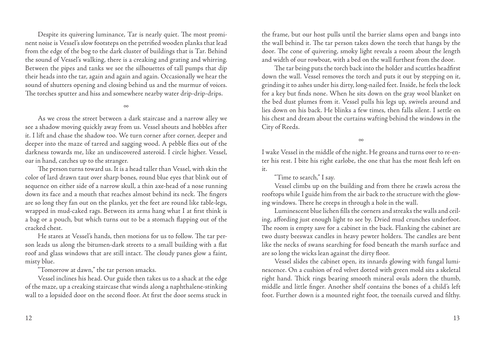Despite its quivering luminance, Tar is nearly quiet. The most prominent noise is Vessel's slow footsteps on the petrified wooden planks that lead from the edge of the bog to the dark cluster of buildings that is Tar. Behind the sound of Vessel's walking, there is a creaking and grating and whirring. Between the pipes and tanks we see the silhouettes of tall pumps that dip their heads into the tar, again and again and again. Occasionally we hear the sound of shutters opening and closing behind us and the murmur of voices. The torches sputter and hiss and somewhere nearby water drip-drip-drips.

∞

As we cross the street between a dark staircase and a narrow alley we see a shadow moving quickly away from us. Vessel shouts and hobbles after it. I lift and chase the shadow too. We turn corner after corner, deeper and deeper into the maze of tarred and sagging wood. A pebble flies out of the darkness towards me, like an undiscovered asteroid. I circle higher. Vessel, oar in hand, catches up to the stranger.

The person turns toward us. It is a head taller than Vessel, with skin the color of lard drawn taut over sharp bones, round blue eyes that blink out of sequence on either side of a narrow skull, a thin axe-head of a nose running down its face and a mouth that reaches almost behind its neck. The fingers are so long they fan out on the planks, yet the feet are round like table-legs, wrapped in mud-caked rags. Between its arms hang what I at first think is a bag or a pouch, but which turns out to be a stomach flapping out of the cracked chest.

He stares at Vessel's hands, then motions for us to follow. The tar person leads us along the bitumen-dark streets to a small building with a flat roof and glass windows that are still intact. The cloudy panes glow a faint, misty blue.

"Tomorrow at dawn," the tar person smacks.

Vessel inclines his head. Our guide then takes us to a shack at the edge of the maze, up a creaking staircase that winds along a naphthalene-stinking wall to a lopsided door on the second floor. At first the door seems stuck in

the frame, but our host pulls until the barrier slams open and bangs into the wall behind it. The tar person takes down the torch that hangs by the door. The cone of quivering, smoky light reveals a room about the length and width of our rowboat, with a bed on the wall furthest from the door.

The tar being puts the torch back into the holder and scuttles headfirst down the wall. Vessel removes the torch and puts it out by stepping on it, grinding it to ashes under his dirty, long-nailed feet. Inside, he feels the lock for a key but finds none. When he sits down on the gray wool blanket on the bed dust plumes from it. Vessel pulls his legs up, swivels around and lies down on his back. He blinks a few times, then falls silent. I settle on his chest and dream about the curtains wafting behind the windows in the City of Reeds.

∞

I wake Vessel in the middle of the night. He groans and turns over to re-enter his rest. I bite his right earlobe, the one that has the most flesh left on it.

## "Time to search," I say.

Vessel climbs up on the building and from there he crawls across the rooftops while I guide him from the air back to the structure with the glowing windows. There he creeps in through a hole in the wall.

Luminescent blue lichen fills the corners and streaks the walls and ceiling, affording just enough light to see by. Dried mud crunches underfoot. The room is empty save for a cabinet in the back. Flanking the cabinet are two dusty beeswax candles in heavy pewter holders. The candles are bent like the necks of swans searching for food beneath the marsh surface and are so long the wicks lean against the dirty floor.

Vessel slides the cabinet open, its innards glowing with fungal luminescence. On a cushion of red velvet dotted with green mold sits a skeletal right hand. Thick rings bearing smooth mineral ovals adorn the thumb, middle and little finger. Another shelf contains the bones of a child's left foot. Further down is a mounted right foot, the toenails curved and filthy.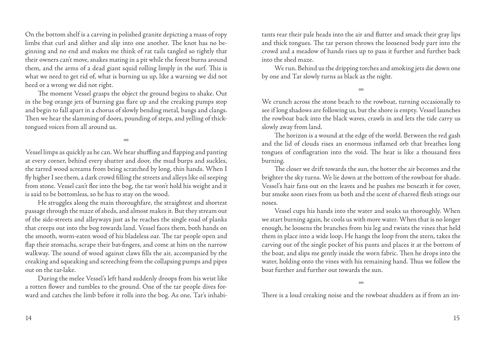On the bottom shelf is a carving in polished granite depicting a mass of ropy limbs that curl and slither and slip into one another. The knot has no beginning and no end and makes me think of rat tails tangled so tightly that their owners can't move, snakes mating in a pit while the forest burns around them, and the arms of a dead giant squid rolling limply in the surf. This is what we need to get rid of, what is burning us up, like a warning we did not heed or a wrong we did not right.

The moment Vessel grasps the object the ground begins to shake. Out in the bog orange jets of burning gas flare up and the creaking pumps stop and begin to fall apart in a chorus of slowly bending metal, bangs and clangs. Then we hear the slamming of doors, pounding of steps, and yelling of thicktongued voices from all around us.

∞

Vessel limps as quickly as he can. We hear shuffling and flapping and panting at every corner, behind every shutter and door, the mud burps and suckles, the tarred wood screams from being scratched by long, thin hands. When I fly higher I see them, a dark crowd filling the streets and alleys like oil seeping from stone. Vessel can't flee into the bog, the tar won't hold his weight and it is said to be bottomless, so he has to stay on the wood.

He struggles along the main thoroughfare, the straightest and shortest passage through the maze of sheds, and almost makes it. But they stream out of the side-streets and alleyways just as he reaches the single road of planks that creeps out into the bog towards land. Vessel faces them, both hands on the smooth, worm-eaten wood of his bladeless oar. The tar people open and flap their stomachs, scrape their bat-fingers, and come at him on the narrow walkway. The sound of wood against claws fills the air, accompanied by the creaking and squeaking and screeching from the collapsing pumps and pipes out on the tar-lake.

During the melee Vessel's left hand suddenly droops from his wrist like a rotten flower and tumbles to the ground. One of the tar people dives forward and catches the limb before it rolls into the bog. As one, Tar's inhabitants rear their pale heads into the air and flutter and smack their gray lips and thick tongues. The tar person throws the loosened body part into the crowd and a meadow of hands rises up to pass it further and further back into the shed maze.

We run. Behind us the dripping torches and smoking jets die down one by one and Tar slowly turns as black as the night.

∞

We crunch across the stone beach to the rowboat, turning occasionally to see if long shadows are following us, but the shore is empty. Vessel launches the rowboat back into the black waves, crawls in and lets the tide carry us slowly away from land.

The horizon is a wound at the edge of the world. Between the red gash and the lid of clouds rises an enormous inflamed orb that breathes long tongues of conflagration into the void. The heat is like a thousand fires burning.

The closer we drift towards the sun, the hotter the air becomes and the brighter the sky turns. We lie down at the bottom of the rowboat for shade. Vessel's hair fans out on the leaves and he pushes me beneath it for cover, but smoke soon rises from us both and the scent of charred flesh stings our noses.

Vessel cups his hands into the water and soaks us thoroughly. When we start burning again, he cools us with more water. When that is no longer enough, he loosens the branches from his leg and twists the vines that held them in place into a wide loop. He hangs the loop from the stern, takes the carving out of the single pocket of his pants and places it at the bottom of the boat, and slips me gently inside the worn fabric. Then he drops into the water, holding onto the vines with his remaining hand. Thus we follow the boat further and further out towards the sun.

∞

There is a loud creaking noise and the rowboat shudders as if from an im-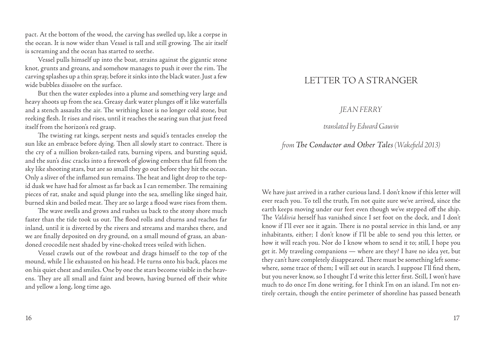pact. At the bottom of the wood, the carving has swelled up, like a corpse in the ocean. It is now wider than Vessel is tall and still growing. The air itself is screaming and the ocean has started to seethe.

Vessel pulls himself up into the boat, strains against the gigantic stone knot, grunts and groans, and somehow manages to push it over the rim. The carving splashes up a thin spray, before it sinks into the black water. Just a few wide bubbles dissolve on the surface.

But then the water explodes into a plume and something very large and heavy shoots up from the sea. Greasy dark water plunges off it like waterfalls and a stench assaults the air. The writhing knot is no longer cold stone, but reeking flesh. It rises and rises, until it reaches the searing sun that just freed itself from the horizon's red grasp.

The twisting rat kings, serpent nests and squid's tentacles envelop the sun like an embrace before dying. Then all slowly start to contract. There is the cry of a million broken-tailed rats, burning vipers, and bursting squid, and the sun's disc cracks into a firework of glowing embers that fall from the sky like shooting stars, but are so small they go out before they hit the ocean. Only a sliver of the inflamed sun remains. The heat and light drop to the tepid dusk we have had for almost as far back as I can remember. The remaining pieces of rat, snake and squid plunge into the sea, smelling like singed hair, burned skin and boiled meat. They are so large a flood wave rises from them.

The wave swells and grows and rushes us back to the stony shore much faster than the tide took us out. The flood rolls and churns and reaches far inland, until it is diverted by the rivers and streams and marshes there, and we are finally deposited on dry ground, on a small mound of grass, an abandoned crocodile nest shaded by vine-choked trees veiled with lichen.

Vessel crawls out of the rowboat and drags himself to the top of the mound, while I lie exhausted on his head. He turns onto his back, places me on his quiet chest and smiles. One by one the stars become visible in the heavens. They are all small and faint and brown, having burned off their white and yellow a long, long time ago.

## LETTER TO A STRANGER

## *JEAN FERRY*

## *translated by Edward Gauvin*

## *from The Conductor and Other Tales (Wakefield 2013)*

We have just arrived in a rather curious land. I don't know if this letter will ever reach you. To tell the truth, I'm not quite sure we've arrived, since the earth keeps moving under our feet even though we've stepped off the ship. The *Valdivia* herself has vanished since I set foot on the dock, and I don't know if I'll ever see it again. There is no postal service in this land, or any inhabitants, either; I don't know if I'll be able to send you this letter, or how it will reach you. Nor do I know whom to send it to; still, I hope you get it. My traveling companions — where are they? I have no idea yet, but they can't have completely disappeared. There must be something left somewhere, some trace of them; I will set out in search. I suppose I'll find them, but you never know, so I thought I'd write this letter first. Still, I won't have much to do once I'm done writing, for I think I'm on an island. I'm not entirely certain, though the entire perimeter of shoreline has passed beneath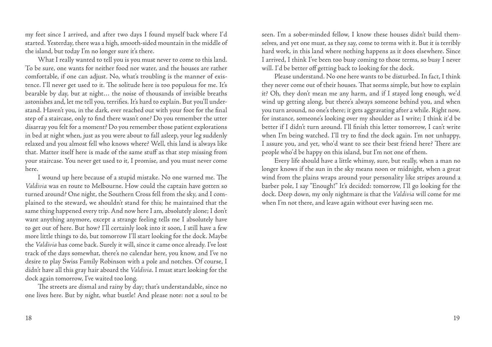my feet since I arrived, and after two days I found myself back where I'd started. Yesterday, there was a high, smooth-sided mountain in the middle of the island, but today I'm no longer sure it's there.

What I really wanted to tell you is you must never to come to this land. To be sure, one wants for neither food nor water, and the houses are rather comfortable, if one can adjust. No, what's troubling is the manner of existence. I'll never get used to it. The solitude here is too populous for me. It's bearable by day, but at night… the noise of thousands of invisible breaths astonishes and, let me tell you, terrifies. It's hard to explain. But you'll understand. Haven't you, in the dark, ever reached out with your foot for the final step of a staircase, only to find there wasn't one? Do you remember the utter disarray you felt for a moment? Do you remember those patient explorations in bed at night when, just as you were about to fall asleep, your leg suddenly relaxed and you almost fell who knows where? Well, this land is always like that. Matter itself here is made of the same stuff as that step missing from your staircase. You never get used to it, I promise, and you must never come here.

I wound up here because of a stupid mistake. No one warned me. The *Valdivia* was en route to Melbourne. How could the captain have gotten so turned around? One night, the Southern Cross fell from the sky, and I complained to the steward, we shouldn't stand for this; he maintained that the same thing happened every trip. And now here I am, absolutely alone; I don't want anything anymore, except a strange feeling tells me I absolutely have to get out of here. But how? I'll certainly look into it soon, I still have a few more little things to do, but tomorrow I'll start looking for the dock. Maybe the *Valdivia* has come back. Surely it will, since it came once already. I've lost track of the days somewhat, there's no calendar here, you know, and I've no desire to play Swiss Family Robinson with a pole and notches. Of course, I didn't have all this gray hair aboard the *Valdivia*. I must start looking for the dock again tomorrow, I've waited too long.

The streets are dismal and rainy by day; that's understandable, since no one lives here. But by night, what bustle! And please note: not a soul to be seen. I'm a sober-minded fellow, I know these houses didn't build themselves, and yet one must, as they say, come to terms with it. But it is terribly hard work, in this land where nothing happens as it does elsewhere. Since I arrived, I think I've been too busy coming to those terms, so busy I never will. I'd be better off getting back to looking for the dock.

Please understand. No one here wants to be disturbed. In fact, I think they never come out of their houses. That seems simple, but how to explain it? Oh, they don't mean me any harm, and if I stayed long enough, we'd wind up getting along, but there's always someone behind you, and when you turn around, no one's there; it gets aggravating after a while. Right now, for instance, someone's looking over my shoulder as I write; I think it'd be better if I didn't turn around. I'll finish this letter tomorrow, I can't write when I'm being watched. I'll try to find the dock again. I'm not unhappy, I assure you, and yet, who'd want to see their best friend here? There are people who'd be happy on this island, but I'm not one of them.

Every life should have a little whimsy, sure, but really, when a man no longer knows if the sun in the sky means noon or midnight, when a great wind from the plains wraps around your personality like stripes around a barber pole, I say "Enough!" It's decided: tomorrow, I'll go looking for the dock. Deep down, my only nightmare is that the *Valdivia* will come for me when I'm not there, and leave again without ever having seen me.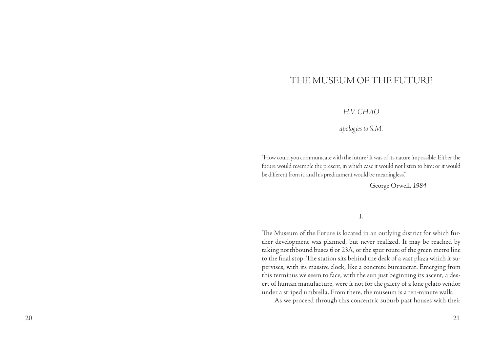## THE MUSEUM OF THE FUTURE

## *H.V. Cha o*

*apologies to S.M.*

"How could you communicate with the future? It was of its nature impossible. Either the future would resemble the present, in which case it would not listen to him: or it would be different from it, and his predicament would be meaningless."

—George Orwell, *<sup>1984</sup>*

I.

The Museum of the Future is located in an outlying district for which further development was planned, but never realized. It may be reached by taking northbound buses 6 or 23A, or the spur route of the green metro line to the final stop. The station sits behind the desk of a vast plaza which it su pervises, with its massive clock, like a concrete bureaucrat. Emerging from this terminus we seem to face, with the sun just beginning its ascent, a des ert of human manufacture, were it not for the gaiety of a lone gelato vendor under a striped umbrella. From there, the museum is a ten-minute walk.

As we proceed through this concentric suburb past houses with their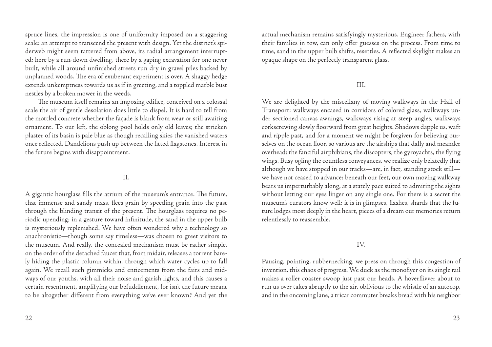spruce lines, the impression is one of uniformity imposed on a staggering scale: an attempt to transcend the present with design. Yet the district's spiderweb might seem tattered from above, its radial arrangement interrupted: here by a run-down dwelling, there by a gaping excavation for one never built, while all around unfinished streets run dry in gravel piles backed by unplanned woods. The era of exuberant experiment is over. A shaggy hedge extends unkemptness towards us as if in greeting, and a toppled marble bust nestles by a broken mower in the weeds.

The museum itself remains an imposing edifice, conceived on a colossal scale the air of gentle desolation does little to dispel. It is hard to tell from the mottled concrete whether the façade is blank from wear or still awaiting ornament. To our left, the oblong pool holds only old leaves; the stricken plaster of its basin is pale blue as though recalling skies the vanished waters once reflected. Dandelions push up between the fitted flagstones. Interest in the future begins with disappointment.

#### II.

A gigantic hourglass fills the atrium of the museum's entrance. The future, that immense and sandy mass, flees grain by speeding grain into the past through the blinding transit of the present. The hourglass requires no periodic upending; in a gesture toward infinitude, the sand in the upper bulb is mysteriously replenished. We have often wondered why a technology so anachronistic—though some say timeless—was chosen to greet visitors to the museum. And really, the concealed mechanism must be rather simple, on the order of the detached faucet that, from midair, releases a torrent barely hiding the plastic column within, through which water cycles up to fall again. We recall such gimmicks and enticements from the fairs and midways of our youths, with all their noise and garish lights, and this causes a certain resentment, amplifying our befuddlement, for isn't the future meant to be altogether different from everything we've ever known? And yet the

actual mechanism remains satisfyingly mysterious. Engineer fathers, with their families in tow, can only offer guesses on the process. From time to time, sand in the upper bulb shifts, resettles. A reflected skylight makes an opaque shape on the perfectly transparent glass.

#### III.

We are delighted by the miscellany of moving walkways in the Hall of Transport: walkways encased in corridors of colored glass, walkways under sectioned canvas awnings, walkways rising at steep angles, walkways corkscrewing slowly floorward from great heights. Shadows dapple us, waft and ripple past, and for a moment we might be forgiven for believing ourselves on the ocean floor, so various are the airships that dally and meander overhead: the fanciful airphibians, the discopters, the gyroyachts, the flying wings. Busy ogling the countless conveyances, we realize only belatedly that although we have stopped in our tracks—are, in fact, standing stock still we have not ceased to advance: beneath our feet, our own moving walkway bears us imperturbably along, at a stately pace suited to admiring the sights without letting our eyes linger on any single one. For there is a secret the museum's curators know well: it is in glimpses, flashes, shards that the future lodges most deeply in the heart, pieces of a dream our memories return relentlessly to reassemble.

#### IV.

Pausing, pointing, rubbernecking, we press on through this congestion of invention, this chaos of progress. We duck as the monoflyer on its single rail makes a roller coaster swoop just past our heads. A hoverflivver about to run us over takes abruptly to the air, oblivious to the whistle of an autocop, and in the oncoming lane, a tricar commuter breaks bread with his neighbor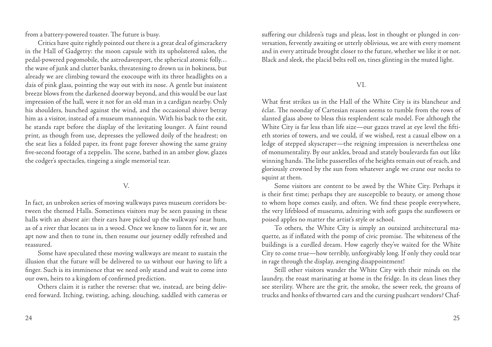from a battery-powered toaster. The future is busy.

Critics have quite rightly pointed out there is a great deal of gimcrackery in the Hall of Gadgetry: the moon capsule with its upholstered salon, the pedal-powered pogomobile, the astrodavenport, the spherical atomic folly… the wave of junk and clutter banks, threatening to drown us in hokiness, but already we are climbing toward the exocoupe with its three headlights on a dais of pink glass, pointing the way out with its nose. A gentle but insistent breeze blows from the darkened doorway beyond, and this would be our last impression of the hall, were it not for an old man in a cardigan nearby. Only his shoulders, hunched against the wind, and the occasional shiver betray him as a visitor, instead of a museum mannequin. With his back to the exit, he stands rapt before the display of the levitating lounger. A faint round print, as though from use, depresses the yellowed doily of the headrest; on the seat lies a folded paper, its front page forever showing the same grainy five-second footage of a zeppelin. The scene, bathed in an amber glow, glazes the codger's spectacles, tingeing a single memorial tear.

## V.

In fact, an unbroken series of moving walkways paves museum corridors between the themed Halls. Sometimes visitors may be seen pausing in these halls with an absent air: their ears have picked up the walkways' near hum, as of a river that locates us in a wood. Once we know to listen for it, we are apt now and then to tune in, then resume our journey oddly refreshed and reassured.

Some have speculated these moving walkways are meant to sustain the illusion that the future will be delivered to us without our having to lift a finger. Such is its imminence that we need only stand and wait to come into our own, heirs to a kingdom of confirmed prediction.

Others claim it is rather the reverse: that we, instead, are being delivered forward. Itching, twisting, aching, slouching, saddled with cameras or suffering our children's tugs and pleas, lost in thought or plunged in conversation, fervently awaiting or utterly oblivious, we are with every moment and in every attitude brought closer to the future, whether we like it or not. Black and sleek, the placid belts roll on, tines glinting in the muted light.

#### VI.

What first strikes us in the Hall of the White City is its blancheur and éclat. The noonday of Cartesian reason seems to tumble from the rows of slanted glass above to bless this resplendent scale model. For although the White City is far less than life size—our gazes travel at eye level the fiftieth stories of towers, and we could, if we wished, rest a casual elbow on a ledge of stepped skyscraper—the reigning impression is nevertheless one of monumentality. By our ankles, broad and stately boulevards fan out like winning hands. The lithe passerelles of the heights remain out of reach, and gloriously crowned by the sun from whatever angle we crane our necks to squint at them.

Some visitors are content to be awed by the White City. Perhaps it is their first time; perhaps they are susceptible to beauty, or among those to whom hope comes easily, and often. We find these people everywhere, the very lifeblood of museums, admiring with soft gasps the sunflowers or poised apples no matter the artist's style or school.

To others, the White City is simply an outsized architectural maquette, as if inflated with the pomp of civic promise. The whiteness of the buildings is a curdled dream. How eagerly they've waited for the White City to come true—how terribly, unforgivably long. If only they could tear in rage through the display, avenging disappointment!

Still other visitors wander the White City with their minds on the laundry, the roast marinating at home in the fridge. In its clean lines they see sterility. Where are the grit, the smoke, the sewer reek, the groans of trucks and honks of thwarted cars and the cursing pushcart vendors? Chaf-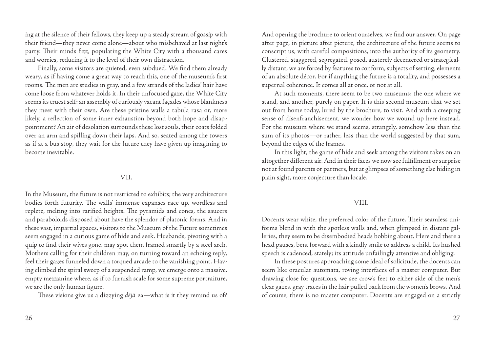ing at the silence of their fellows, they keep up a steady stream of gossip with their friend—they never come alone—about who misbehaved at last night's party. Their minds fizz, populating the White City with a thousand cares and worries, reducing it to the level of their own distraction.

Finally, some visitors are quieted, even subdued. We find them already weary, as if having come a great way to reach this, one of the museum's first rooms. The men are studies in gray, and a few strands of the ladies' hair have come loose from whatever holds it. In their unfocused gaze, the White City seems its truest self: an assembly of curiously vacant façades whose blankness they meet with their own. Are these pristine walls a tabula rasa or, more likely, a reflection of some inner exhaustion beyond both hope and disappointment? An air of desolation surrounds these lost souls, their coats folded over an arm and spilling down their laps. And so, seated among the towers as if at a bus stop, they wait for the future they have given up imagining to become inevitable.

#### VII.

In the Museum, the future is not restricted to exhibits; the very architecture bodies forth futurity. The walls' immense expanses race up, wordless and replete, melting into rarified heights. The pyramids and cones, the saucers and paraboloids disposed about have the splendor of platonic forms. And in these vast, impartial spaces, visitors to the Museum of the Future sometimes seem engaged in a curious game of hide and seek. Husbands, pivoting with a quip to find their wives gone, may spot them framed smartly by a steel arch. Mothers calling for their children may, on turning toward an echoing reply, feel their gazes funneled down a torqued arcade to the vanishing point. Having climbed the spiral sweep of a suspended ramp, we emerge onto a massive, empty mezzanine where, as if to furnish scale for some supreme portraiture, we are the only human figure.

These visions give us a dizzying *déjà vu*—what is it they remind us of?

And opening the brochure to orient ourselves, we find our answer. On page after page, in picture after picture, the architecture of the future seems to conscript us, with careful compositions, into the authority of its geometry. Clustered, staggered, segregated, posed, austerely decentered or strategically distant, we are forced by features to conform, subjects of setting, elements of an absolute décor. For if anything the future is a totality, and possesses a supernal coherence. It comes all at once, or not at all.

At such moments, there seem to be two museums: the one where we stand, and another, purely on paper. It is this second museum that we set out from home today, lured by the brochure, to visit. And with a creeping sense of disenfranchisement, we wonder how we wound up here instead. For the museum where we stand seems, strangely, somehow less than the sum of its photos—or rather, less than the world suggested by that sum, beyond the edges of the frames.

In this light, the game of hide and seek among the visitors takes on an altogether different air. And in their faces we now see fulfillment or surprise not at found parents or partners, but at glimpses of something else hiding in plain sight, more conjecture than locale.

#### VIII.

Docents wear white, the preferred color of the future. Their seamless uniforms blend in with the spotless walls and, when glimpsed in distant galleries, they seem to be disembodied heads bobbing about. Here and there a head pauses, bent forward with a kindly smile to address a child. Its hushed speech is cadenced, stately; its attitude unfailingly attentive and obliging.

In these postures approaching some ideal of solicitude, the docents can seem like oracular automata, roving interfaces of a master computer. But drawing close for questions, we see crow's feet to either side of the men's clear gazes, gray traces in the hair pulled back from the women's brows. And of course, there is no master computer. Docents are engaged on a strictly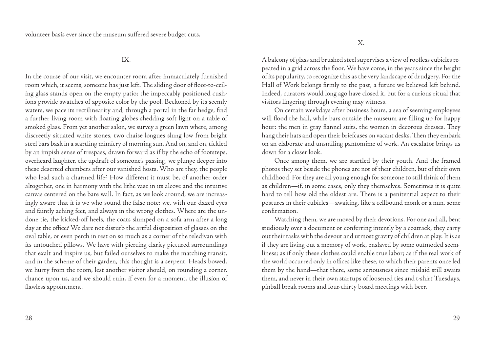IX.

In the course of our visit, we encounter room after immaculately furnished room which, it seems, someone has just left. The sliding door of floor-to-ceiling glass stands open on the empty patio; the impeccably positioned cushions provide swatches of apposite color by the pool. Beckoned by its seemly waters, we pace its rectilinearity and, through a portal in the far hedge, find a further living room with floating globes shedding soft light on a table of smoked glass. From yet another salon, we survey a green lawn where, among discreetly situated white stones, two chaise longues slung low from bright steel bars bask in a startling mimicry of morning sun. And on, and on, tickled by an impish sense of trespass, drawn forward as if by the echo of footsteps, overheard laughter, the updraft of someone's passing, we plunge deeper into these deserted chambers after our vanished hosts. Who are they, the people who lead such a charmed life? How different it must be, of another order altogether, one in harmony with the lithe vase in its alcove and the intuitive canvas centered on the bare wall. In fact, as we look around, we are increasingly aware that it is we who sound the false note: we, with our dazed eyes and faintly aching feet, and always in the wrong clothes. Where are the undone tie, the kicked-off heels, the coats slumped on a sofa arm after a long day at the office? We dare not disturb the artful disposition of glasses on the oval table, or even perch in rest on so much as a corner of the teledivan with its untouched pillows. We have with piercing clarity pictured surroundings that exalt and inspire us, but failed ourselves to make the matching transit, and in the scheme of their garden, this thought is a serpent. Heads bowed, we hurry from the room, lest another visitor should, on rounding a corner, chance upon us, and we should ruin, if even for a moment, the illusion of flawless appointment.

A balcony of glass and brushed steel supervises a view of roofless cubicles repeated in a grid across the floor. We have come, in the years since the height of its popularity, to recognize this as the very landscape of drudgery. For the Hall of Work belongs firmly to the past, a future we believed left behind. Indeed, curators would long ago have closed it, but for a curious ritual that visitors lingering through evening may witness.

On certain weekdays after business hours, a sea of seeming employees will flood the hall, while bars outside the museum are filling up for happy hour: the men in gray flannel suits, the women in decorous dresses. They hang their hats and open their briefcases on vacant desks. Then they embark on an elaborate and unsmiling pantomime of work. An escalator brings us down for a closer look.

Once among them, we are startled by their youth. And the framed photos they set beside the phones are not of their children, but of their own childhood. For they are all young enough for someone to still think of them as children—if, in some cases, only they themselves. Sometimes it is quite hard to tell how old the oldest are. There is a penitential aspect to their postures in their cubicles—awaiting, like a cellbound monk or a nun, some confirmation.

Watching them, we are moved by their devotions. For one and all, bent studiously over a document or conferring intently by a coatrack, they carry out their tasks with the devout and utmost gravity of children at play. It is as if they are living out a memory of work, enslaved by some outmoded seemliness; as if only these clothes could enable true labor; as if the real work of the world occurred only in offices like these, to which their parents once led them by the hand—that there, some seriousness since mislaid still awaits them, and never in their own startups of loosened ties and t-shirt Tuesdays, pinball break rooms and four-thirty board meetings with beer.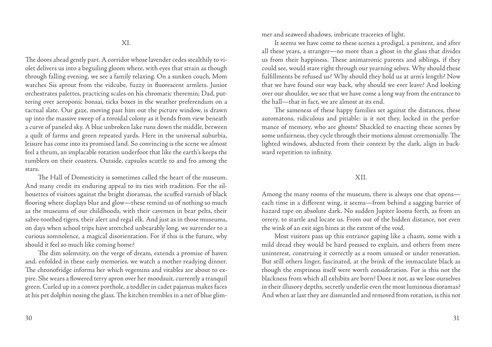The doors ahead gently part. A corridor whose lavender cedes stealthily to violet delivers us into a beguiling gloom where, with eyes that strain as though through falling evening, we see a family relaxing. On a sunken couch, Mom watches Sis sprout from the vidcube, fuzzy in fluorescent armlets. Junior orchestrates palettes, practicing scales on his chromatic theremin; Dad, puttering over aeroponic bonsai, ticks boxes in the weather preferendum on a tactual slate. Our gaze, moving past him out the picture window, is drawn up into the massive sweep of a toroidal colony as it bends from view beneath a curve of paneled sky. A blue unbroken lake runs down the middle, between a quilt of farms and green repeated yards. Here in the universal suburbia, leisure has come into its promised land. So convincing is the scene we almost feel a thrum, an implacable rotation underfoot that like the earth's keeps the tumblers on their coasters. Outside, capsules scuttle to and fro among the stars.

The Hall of Domesticity is sometimes called the heart of the museum. And many credit its enduring appeal to its ties with tradition. For the silhouettes of visitors against the bright dioramas, the scuffed varnish of black flooring where displays blur and glow—these remind us of nothing so much as the museums of our childhoods, with their cavemen in bear pelts, their sabre-toothed tigers, their alert and regal elk. And just as in those museums, on days when school trips have stretched unbearably long, we surrender to a curious somnolence, a magical disorientation. For if this is the future, why should it feel so much like coming home?

The dim solemnity, on the verge of dream, extends a promise of haven and, enfolded in these early memories, we watch a mother readying dinner. The chronofridge informs her which vegemins and vitables are about to expire. She wears a flowered terry apron over her moodsuit, currently a tranquil green. Curled up in a convex porthole, a toddler in cadet pajamas makes faces at his pet dolphin nosing the glass. The kitchen trembles in a net of blue glimmer and seaweed shadows, imbricate traceries of light.

It seems we have come to these scenes a prodigal, a penitent, and after all these years, a stranger—no more than a ghost in the glass that divides us from their happiness. These animatronic parents and siblings, if they could see, would stare right through our yearning selves. Why should these fulfillments be refused us? Why should they hold us at arm's length? Now that we have found our way back, why should we ever leave? And looking over our shoulder, we see that we have come a long way from the entrance to the hall—that in fact, we are almost at its end.

The sameness of these happy families set against the distances, these automatons, ridiculous and pitiable: is it not they, locked in the performance of memory, who are ghosts? Shackled to enacting these scenes by some unfairness, they cycle through their motions almost ceremonially. The lighted windows, abducted from their context by the dark, align in backward repetition to infinity.

#### XII.

Among the many rooms of the museum, there is always one that opens each time in a different wing, it seems—from behind a sagging barrier of hazard tape on absolute dark. No sudden Jupiter looms forth, as from an orrery, to startle and locate us. From out of the hidden distance, not even the wink of an exit sign hints at the extent of the void.

Most visitors pass up this entrance gaping like a chasm, some with a mild dread they would be hard pressed to explain, and others from mere uninterest, construing it correctly as a room unused or under renovation. But still others linger, fascinated, at the brink of the immaculate black as though the emptiness itself were worth consideration. For is this not the blackness from which all exhibits are born? Does it not, as we lose ourselves in their illusory depths, secretly underlie even the most luminous dioramas? And when at last they are dismantled and removed from rotation, is this not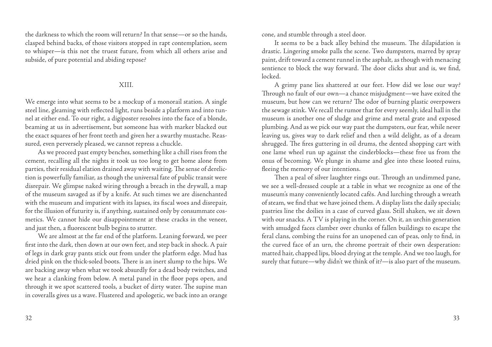the darkness to which the room will return? In that sense—or so the hands, clasped behind backs, of those visitors stopped in rapt contemplation, seem to whisper—is this not the truest future, from which all others arise and subside, of pure potential and abiding repose?

## XIII.

We emerge into what seems to be a mockup of a monorail station. A single steel line, gleaming with reflected light, runs beside a platform and into tunnel at either end. To our right, a digiposter resolves into the face of a blonde, beaming at us in advertisement, but someone has with marker blacked out the exact squares of her front teeth and given her a swarthy mustache. Reassured, even perversely pleased, we cannot repress a chuckle.

As we proceed past empty benches, something like a chill rises from the cement, recalling all the nights it took us too long to get home alone from parties, their residual elation drained away with waiting. The sense of dereliction is powerfully familiar, as though the universal fate of public transit were disrepair. We glimpse naked wiring through a breach in the drywall, a map of the museum savaged as if by a knife. At such times we are disenchanted with the museum and impatient with its lapses, its fiscal woes and disrepair, for the illusion of futurity is, if anything, sustained only by consummate cosmetics. We cannot hide our disappointment at these cracks in the veneer, and just then, a fluorescent bulb begins to stutter.

We are almost at the far end of the platform. Leaning forward, we peer first into the dark, then down at our own feet, and step back in shock. A pair of legs in dark gray pants stick out from under the platform edge. Mud has dried pink on the thick-soled boots. There is an inert slump to the hips. We are backing away when what we took absurdly for a dead body twitches, and we hear a clanking from below. A metal panel in the floor pops open, and through it we spot scattered tools, a bucket of dirty water. The supine man in coveralls gives us a wave. Flustered and apologetic, we back into an orange cone, and stumble through a steel door.

It seems to be a back alley behind the museum. The dilapidation is drastic. Lingering smoke palls the scene. Two dumpsters, marred by spray paint, drift toward a cement runnel in the asphalt, as though with menacing sentience to block the way forward. The door clicks shut and is, we find, locked.

A grimy pane lies shattered at our feet. How did we lose our way? Through no fault of our own—a chance misjudgment—we have exited the museum, but how can we return? The odor of burning plastic overpowers the sewage stink. We recall the rumor that for every seemly, ideal hall in the museum is another one of sludge and grime and metal grate and exposed plumbing. And as we pick our way past the dumpsters, our fear, while never leaving us, gives way to dark relief and then a wild delight, as of a dream shrugged. The fires guttering in oil drums, the dented shopping cart with one lame wheel run up against the cinderblocks—these free us from the onus of becoming. We plunge in shame and glee into these looted ruins, fleeing the memory of our intentions.

Then a peal of silver laughter rings out. Through an undimmed pane, we see a well-dressed couple at a table in what we recognize as one of the museum's many conveniently located cafés. And lurching through a wreath of steam, we find that we have joined them. A display lists the daily specials; pastries line the doilies in a case of curved glass. Still shaken, we sit down with our snacks. A TV is playing in the corner. On it, an urchin generation with smudged faces clamber over chunks of fallen buildings to escape the feral clans, combing the ruins for an unopened can of peas, only to find, in the curved face of an urn, the chrome portrait of their own desperation: matted hair, chapped lips, blood drying at the temple. And we too laugh, for surely that future—why didn't we think of it?—is also part of the museum.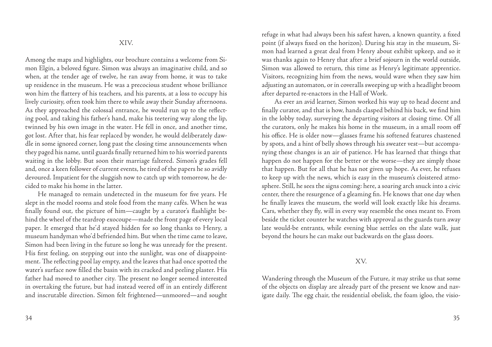Among the maps and highlights, our brochure contains a welcome from Simon Elgin, a beloved figure. Simon was always an imaginative child, and so when, at the tender age of twelve, he ran away from home, it was to take up residence in the museum. He was a precocious student whose brilliance won him the flattery of his teachers, and his parents, at a loss to occupy his lively curiosity, often took him there to while away their Sunday afternoons. As they approached the colossal entrance, he would run up to the reflecting pool, and taking his father's hand, make his teetering way along the lip, twinned by his own image in the water. He fell in once, and another time, got lost. After that, his fear replaced by wonder, he would deliberately dawdle in some ignored corner, long past the closing time announcements when they paged his name, until guards finally returned him to his worried parents waiting in the lobby. But soon their marriage faltered. Simon's grades fell and, once a keen follower of current events, he tired of the papers he so avidly devoured. Impatient for the sluggish now to catch up with tomorrow, he decided to make his home in the latter.

He managed to remain undetected in the museum for five years. He slept in the model rooms and stole food from the many cafés. When he was finally found out, the picture of him—caught by a curator's flashlight behind the wheel of the teardrop exocoupe—made the front page of every local paper. It emerged that he'd stayed hidden for so long thanks to Henry, a museum handyman who'd befriended him. But when the time came to leave, Simon had been living in the future so long he was unready for the present. His first feeling, on stepping out into the sunlight, was one of disappointment. The reflecting pool lay empty, and the leaves that had once spotted the water's surface now filled the basin with its cracked and peeling plaster. His father had moved to another city. The present no longer seemed interested in overtaking the future, but had instead veered off in an entirely different and inscrutable direction. Simon felt frightened—unmoored—and sought refuge in what had always been his safest haven, a known quantity, a fixed point (if always fixed on the horizon). During his stay in the museum, Simon had learned a great deal from Henry about exhibit upkeep, and so it was thanks again to Henry that after a brief sojourn in the world outside, Simon was allowed to return, this time as Henry's legitimate apprentice. Visitors, recognizing him from the news, would wave when they saw him adjusting an automaton, or in coveralls sweeping up with a headlight broom after departed re-enactors in the Hall of Work.

As ever an avid learner, Simon worked his way up to head docent and finally curator, and that is how, hands clasped behind his back, we find him in the lobby today, surveying the departing visitors at closing time. Of all the curators, only he makes his home in the museum, in a small room off his office. He is older now—glasses frame his softened features chastened by spots, and a hint of belly shows through his sweater vest—but accompanying these changes is an air of patience. He has learned that things that happen do not happen for the better or the worse—they are simply those that happen. But for all that he has not given up hope. As ever, he refuses to keep up with the news, which is easy in the museum's cloistered atmosphere. Still, he sees the signs coming: here, a soaring arch snuck into a civic center, there the resurgence of a gleaming fin. He knows that one day when he finally leaves the museum, the world will look exactly like his dreams. Cars, whether they fly, will in every way resemble the ones meant to. From beside the ticket counter he watches with approval as the guards turn away late would-be entrants, while evening blue settles on the slate walk, just beyond the hours he can make out backwards on the glass doors.

#### XV.

Wandering through the Museum of the Future, it may strike us that some of the objects on display are already part of the present we know and navigate daily. The egg chair, the residential obelisk, the foam igloo, the visio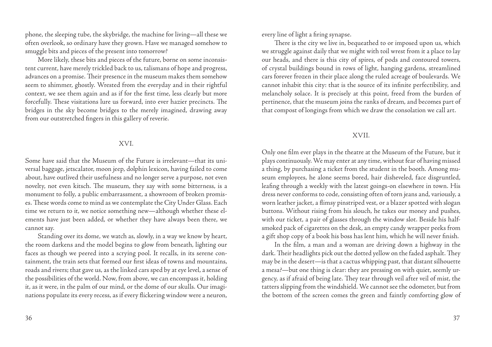phone, the sleeping tube, the skybridge, the machine for living—all these we often overlook, so ordinary have they grown. Have we managed somehow to smuggle bits and pieces of the present into tomorrow?

More likely, these bits and pieces of the future, borne on some inconsistent current, have merely trickled back to us, talismans of hope and progress, advances on a promise. Their presence in the museum makes them somehow seem to shimmer, ghostly. Wrested from the everyday and in their rightful context, we see them again and as if for the first time, less clearly but more forcefully. These visitations lure us forward, into ever hazier precincts. The bridges in the sky become bridges to the merely imagined, drawing away from our outstretched fingers in this gallery of reverie.

#### XVI.

Some have said that the Museum of the Future is irrelevant—that its universal baggage, jetscalator, moon jeep, dolphin lexicon, having failed to come about, have outlived their usefulness and no longer serve a purpose, not even novelty, not even kitsch. The museum, they say with some bitterness, is a monument to folly, a public embarrassment, a showroom of broken promises. These words come to mind as we contemplate the City Under Glass. Each time we return to it, we notice something new—although whether these elements have just been added, or whether they have always been there, we cannot say.

Standing over its dome, we watch as, slowly, in a way we know by heart, the room darkens and the model begins to glow from beneath, lighting our faces as though we peered into a scrying pool. It recalls, in its serene containment, the train sets that formed our first ideas of towns and mountains, roads and rivers; that gave us, as the linked cars sped by at eye level, a sense of the possibilities of the world. Now, from above, we can encompass it, holding it, as it were, in the palm of our mind, or the dome of our skulls. Our imaginations populate its every recess, as if every flickering window were a neuron,

every line of light a firing synapse.

There is the city we live in, bequeathed to or imposed upon us, which we struggle against daily that we might with toil wrest from it a place to lay our heads, and there is this city of spires, of pods and contoured towers, of crystal buildings bound in rows of light, hanging gardens, streamlined cars forever frozen in their place along the ruled acreage of boulevards. We cannot inhabit this city: that is the source of its infinite perfectibility, and melancholy solace. It is precisely at this point, freed from the burden of pertinence, that the museum joins the ranks of dream, and becomes part of that compost of longings from which we draw the consolation we call art.

#### XVII.

Only one film ever plays in the theatre at the Museum of the Future, but it plays continuously. We may enter at any time, without fear of having missed a thing, by purchasing a ticket from the student in the booth. Among museum employees, he alone seems bored, hair disheveled, face disgruntled, leafing through a weekly with the latest goings-on elsewhere in town. His dress never conforms to code, consisting often of torn jeans and, variously, a worn leather jacket, a flimsy pinstriped vest, or a blazer spotted with slogan buttons. Without rising from his slouch, he takes our money and pushes, with our ticket, a pair of glasses through the window slot. Beside his halfsmoked pack of cigarettes on the desk, an empty candy wrapper peeks from a gift shop copy of a book his boss has lent him, which he will never finish.

In the film, a man and a woman are driving down a highway in the dark. Their headlights pick out the dotted yellow on the faded asphalt. They may be in the desert—is that a cactus whipping past, that distant silhouette a mesa?—but one thing is clear: they are pressing on with quiet, seemly urgency, as if afraid of being late. They tear through veil after veil of mist, the tatters slipping from the windshield. We cannot see the odometer, but from the bottom of the screen comes the green and faintly comforting glow of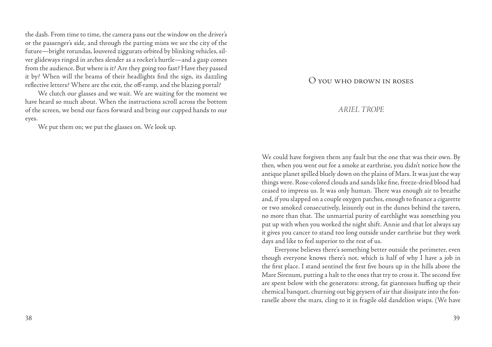the dash. From time to time, the camera pans out the window on the driver's or the passenger's side, and through the parting mists we see the city of the future—bright rotundas, louvered ziggurats orbited by blinking vehicles, silver glideways ringed in arches slender as a rocket's hurtle—and a gasp comes from the audience. But where is it? Are they going too fast? Have they passed it by? When will the beams of their headlights find the sign, its dazzling reflective letters? Where are the exit, the off-ramp, and the blazing portal?

We clutch our glasses and we wait. We are waiting for the moment we have heard so much about. When the instructions scroll across the bottom of the screen, we bend our faces forward and bring our cupped hands to our eyes.

We put them on; we put the glasses on. We look up.

## O you who drown in roses

## *ARIEL TROPE*

We could have forgiven them any fault but the one that was their own. By then, when you went out for a smoke at earthrise, you didn't notice how the antique planet spilled bluely down on the plains of Mars. It was just the way things were. Rose-colored clouds and sands like fine, freeze-dried blood had ceased to impress us. It was only human. There was enough air to breathe and, if you slapped on a couple oxygen patches, enough to finance a cigarette or two smoked consecutively, leisurely out in the dunes behind the tavern, no more than that. The unmartial purity of earthlight was something you put up with when you worked the night shift. Annie and that lot always say it gives you cancer to stand too long outside under earthrise but they work days and like to feel superior to the rest of us.

Everyone believes there's something better outside the perimeter, even though everyone knows there's not, which is half of why I have a job in the first place. I stand sentinel the first five hours up in the hills above the Mare Sirenum, putting a halt to the ones that try to cross it. The second five are spent below with the generators: strong, fat giantesses huffing up their chemical banquet, churning out big geysers of air that dissipate into the fontanelle above the mars, cling to it in fragile old dandelion wisps. (We have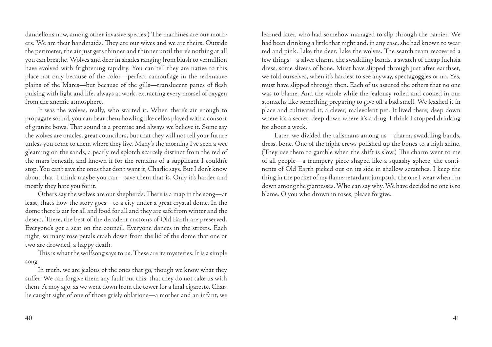dandelions now, among other invasive species.) The machines are our mothers. We are their handmaids. They are our wives and we are theirs. Outside the perimeter, the air just gets thinner and thinner until there's nothing at all you can breathe. Wolves and deer in shades ranging from blush to vermillion have evolved with frightening rapidity. You can tell they are native to this place not only because of the color—perfect camouflage in the red-mauve plains of the Mares—but because of the gills—translucent panes of flesh pulsing with light and life, always at work, extracting every morsel of oxygen from the anemic atmosphere.

It was the wolves, really, who started it. When there's air enough to propagate sound, you can hear them howling like cellos played with a consort of granite bows. That sound is a promise and always we believe it. Some say the wolves are oracles, great councilors, but that they will not tell your future unless you come to them where they live. Many's the morning I've seen a wet gleaming on the sands, a pearly red splotch scarcely distinct from the red of the mars beneath, and known it for the remains of a supplicant I couldn't stop. You can't save the ones that don't want it, Charlie says. But I don't know about that. I think maybe you can—save them that is. Only it's harder and mostly they hate you for it.

Others say the wolves are our shepherds. There is a map in the song—at least, that's how the story goes—to a city under a great crystal dome. In the dome there is air for all and food for all and they are safe from winter and the desert. There, the best of the decadent customs of Old Earth are preserved. Everyone's got a seat on the council. Everyone dances in the streets. Each night, so many rose petals crash down from the lid of the dome that one or two are drowned, a happy death.

This is what the wolfsong says to us. These are its mysteries. It is a simple song.

In truth, we are jealous of the ones that go, though we know what they suffer. We can forgive them any fault but this: that they do not take us with them. A moy ago, as we went down from the tower for a final cigarette, Charlie caught sight of one of those grisly oblations—a mother and an infant, we

learned later, who had somehow managed to slip through the barrier. We had been drinking a little that night and, in any case, she had known to wear red and pink. Like the deer. Like the wolves. The search team recovered a few things—a silver charm, the swaddling bands, a swatch of cheap fuchsia dress, some slivers of bone. Must have slipped through just after earthset, we told ourselves, when it's hardest to see anyway, spectagoggles or no. Yes, must have slipped through then. Each of us assured the others that no one was to blame. And the whole while the jealousy roiled and cooked in our stomachs like something preparing to give off a bad smell. We leashed it in place and cultivated it, a clever, malevolent pet. It lived there, deep down where it's a secret, deep down where it's a drug. I think I stopped drinking for about a week.

Later, we divided the talismans among us—charm, swaddling bands, dress, bone. One of the night crews polished up the bones to a high shine. (They use them to gamble when the shift is slow.) The charm went to me of all people—a trumpery piece shaped like a squashy sphere, the continents of Old Earth picked out on its side in shallow scratches. I keep the thing in the pocket of my flame-retardant jumpsuit, the one I wear when I'm down among the giantesses. Who can say why. We have decided no one is to blame. O you who drown in roses, please forgive.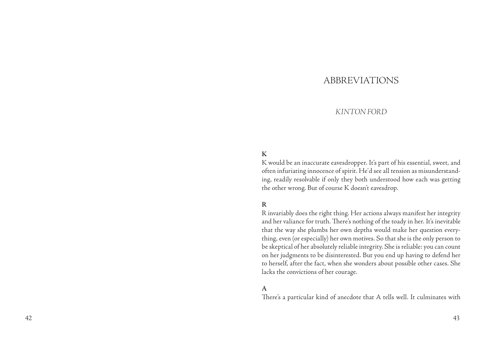## ABBREVIATIO

## *KINTON F ORD*

## **K**

K would be an inaccurate eavesdropper. It's part of his essential, sweet, and often infuriating innocence of spirit. He'd see all tension as misunderstand ing, readily resolvable if only they both understood how each was getting the other wrong. But of course K doesn't eavesdrop.

#### **R**

R invariably does the right thing. Her actions always manifest her integrity and her valiance for truth. There's nothing of the toady in her. It's inevitable that the way she plumbs her own depths would make her question every thing, even (or especially) her own motives. So that she is the only person to be skeptical of her absolutely reliable integrity. She is reliable: you can count on her judgments to be disinterested. But you end up having to defend her to herself, after the fact, when she wonders about possible other cases. She lacks the convictions of her courage.

#### **A**

There's a particular kind of anecdote that A tells well. It culminates with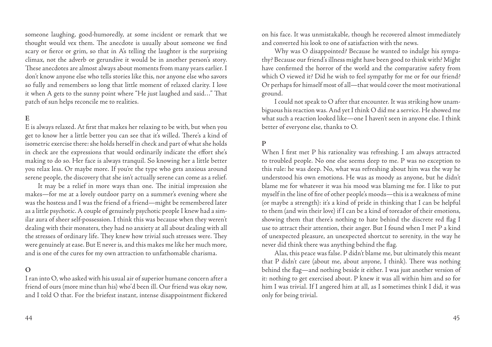someone laughing, good-humoredly, at some incident or remark that we thought would vex them. The anecdote is usually about someone we find scary or fierce or grim, so that in A's telling the laughter is the surprising climax, not the adverb or gerundive it would be in another person's story. These anecdotes are almost always about moments from many years earlier. I don't know anyone else who tells stories like this, nor anyone else who savors so fully and remembers so long that little moment of relaxed clarity. I love it when A gets to the sunny point where "He just laughed and said…" That patch of sun helps reconcile me to realities.

## **E**

E is always relaxed. At first that makes her relaxing to be with, but when you get to know her a little better you can see that it's willed. There's a kind of isometric exercise there: she holds herself in check and part of what she holds in check are the expressions that would ordinarily indicate the effort she's making to do so. Her face is always tranquil. So knowing her a little better you relax less. Or maybe more. If you're the type who gets anxious around serene people, the discovery that she isn't actually serene can come as a relief.

It may be a relief in more ways than one. The initial impression she makes—for me at a lovely outdoor party on a summer's evening where she was the hostess and I was the friend of a friend—might be remembered later as a little psychotic. A couple of genuinely psychotic people I knew had a similar aura of sheer self-possession. I think this was because when they weren't dealing with their monsters, they had no anxiety at all about dealing with all the stresses of ordinary life. They knew how trivial such stresses were. They were genuinely at ease. But E never is, and this makes me like her much more, and is one of the cures for my own attraction to unfathomable charisma.

#### **O**

I ran into O, who asked with his usual air of superior humane concern after a friend of ours (more mine than his) who'd been ill. Our friend was okay now, and I told O that. For the briefest instant, intense disappointment flickered

on his face. It was unmistakable, though he recovered almost immediately and converted his look to one of satisfaction with the news.

Why was O disappointed? Because he wanted to indulge his sympathy? Because our friend's illness might have been good to think with? Might have confirmed the horror of the world and the comparative safety from which O viewed it? Did he wish to feel sympathy for me or for our friend? Or perhaps for himself most of all—that would cover the most motivational ground.

I could not speak to O after that encounter. It was striking how unambiguous his reaction was. And yet I think O did me a service. He showed me what such a reaction looked like—one I haven't seen in anyone else. I think better of everyone else, thanks to O.

#### **P**

When I first met P his rationality was refreshing. I am always attracted to troubled people. No one else seems deep to me. P was no exception to this rule: he was deep. No, what was refreshing about him was the way he understood his own emotions. He was as moody as anyone, but he didn't blame me for whatever it was his mood was blaming me for. I like to put myself in the line of fire of other people's moods—this is a weakness of mine (or maybe a strength): it's a kind of pride in thinking that I can be helpful to them (and win their love) if I can be a kind of toreador of their emotions, showing them that there's nothing to hate behind the discrete red flag I use to attract their attention, their anger. But I found when I met P a kind of unexpected pleasure, an unexpected shortcut to serenity, in the way he never did think there was anything behind the flag.

Alas, this peace was false. P didn't blame me, but ultimately this meant that P didn't care (about me, about anyone, I think). There was nothing behind the flag—and nothing beside it either. I was just another version of it: nothing to get exercised about. P knew it was all within him and so for him I was trivial. If I angered him at all, as I sometimes think I did, it was only for being trivial.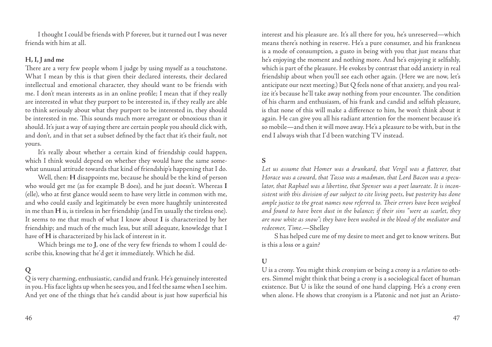I thought I could be friends with P forever, but it turned out I was never friends with him at all.

## **H, I, J and me**

There are a very few people whom I judge by using myself as a touchstone. What I mean by this is that given their declared interests, their declared intellectual and emotional character, they should want to be friends with me. I don't mean interests as in an online profile; I mean that if they really are interested in what they purport to be interested in, if they really are able to think seriously about what they purport to be interested in, they should be interested in me. This sounds much more arrogant or obnoxious than it should. It's just a way of saying there are certain people you should click with, and don't, and in that set a subset defined by the fact that it's their fault, not yours.

It's really about whether a certain kind of friendship could happen, which I think would depend on whether they would have the same somewhat unusual attitude towards that kind of friendship's happening that I do.

Well, then: **H** disappoints me, because he should be the kind of person who would get me (as for example B does), and he just doesn't. Whereas **I**  (elle), who at first glance would seem to have very little in common with me, and who could easily and legitimately be even more haughtily uninterested in me than **H** is, is tireless in her friendship (and I'm usually the tireless one). It seems to me that much of what I know about **I** is characterized by her friendship; and much of the much less, but still adequate, knowledge that I have of **H** is characterized by his lack of interest in it.

Which brings me to **J**, one of the very few friends to whom I could describe this, knowing that he'd get it immediately. Which he did.

## **Q**

Q is very charming, enthusiastic, candid and frank. He's genuinely interested in you. His face lights up when he sees you, and I feel the same when I see him. And yet one of the things that he's candid about is just how superficial his

interest and his pleasure are. It's all there for you, he's unreserved—which means there's nothing in reserve. He's a pure consumer, and his frankness is a mode of consumption, a gusto in being with you that just means that he's enjoying the moment and nothing more. And he's enjoying it selfishly, which is part of the pleasure. He evokes by contrast that odd anxiety in real friendship about when you'll see each other again. (Here we are now, let's anticipate our next meeting.) But Q feels none of that anxiety, and you realize it's because he'll take away nothing from your encounter. The condition of his charm and enthusiasm, of his frank and candid and selfish pleasure, is that none of this will make a difference to him, he won't think about it again. He can give you all his radiant attention for the moment because it's so mobile—and then it will move away. He's a pleasure to be with, but in the end I always wish that I'd been watching TV instead.

## **S**

Let us assume that Homer was a drunkard, that Vergil was a flatterer, that *Horace was a coward, that Tasso was a madman, that Lord Bacon was a speculator, that Raphael was a libertine, that Spenser was a poet laureate. It is inconsistent with this division of our subject to cite living poets, but posterity has done ample justice to the great names now referred to. Their errors have been weighed and found to have been dust in the balance; if their sins "were as scarlet, they are now white as snow"; they have been washed in the blood of the mediator and redeemer, Time.*—Shelley

S has helped cure me of my desire to meet and get to know writers. But is this a loss or a gain?

#### **U**

U is a crony. You might think cronyism or being a crony is a *relation* to others. Simmel might think that being a crony is a sociological facet of human existence. But U is like the sound of one hand clapping. He's a crony even when alone. He shows that cronyism is a Platonic and not just an Aristo-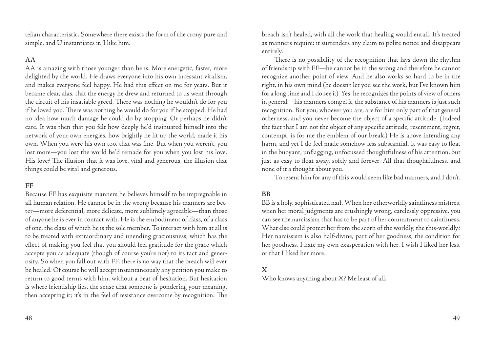telian characteristic. Somewhere there exists the form of the crony pure and simple, and U instantiates it. I like him.

## **AA**

AA is amazing with those younger than he is. More energetic, faster, more delighted by the world. He draws everyone into his own incessant vitalism, and makes everyone feel happy. He had this effect on me for years. But it became clear, alas, that the energy he drew and returned to us went through the circuit of his insatiable greed. There was nothing he wouldn't do for you if he loved you. There was nothing he would do for you if he stopped. He had no idea how much damage he could do by stopping. Or perhaps he didn't care. It was then that you felt how deeply he'd insinuated himself into the network of your own energies, how brightly he lit up the world, made it his own. When you were his own too, that was fine. But when you weren't, you lost more—you lost the world he'd remade for you when you lost his love. His love? The illusion that it was love, vital and generous, the illusion that things could be vital and generous.

## **FF**

Because FF has exquisite manners he believes himself to be impregnable in all human relation. He cannot be in the wrong because his manners are better—more deferential, more delicate, more sublimely agreeable—than those of anyone he is ever in contact with. He is the embodiment of class, of a class of one, the class of which he is the sole member. To interact with him at all is to be treated with extraordinary and unending graciousness, which has the effect of making you feel that you should feel gratitude for the grace which accepts you as adequate (though of course you're not) to its tact and generosity. So when you fall out with FF, there is no way that the breach will ever be healed. Of course he will accept instantaneously any petition you make to return to good terms with him, without a beat of hesitation. But hesitation is where friendship lies, the sense that someone is pondering your meaning, then accepting it; it's in the feel of resistance overcome by recognition. The breach isn't healed, with all the work that healing would entail. It's treated as manners require: it surrenders any claim to polite notice and disappears entirely.

There is no possibility of the recognition that lays down the rhythm of friendship with FF—he cannot be in the wrong and therefore he cannot recognize another point of view. And he also works so hard to be in the right, in his own mind (he doesn't let you see the work, but I've known him for a long time and I do see it). Yes, he recognizes the points of view of others in general—his manners compel it, the substance of his manners is just such recognition. But you, whoever you are, are for him only part of that general otherness, and you never become the object of a specific attitude. (Indeed the fact that I am not the object of any specific attitude, resentment, regret, contempt, is for me the emblem of our break.) He is above intending any harm, and yet I do feel made somehow less substantial. It was easy to float in the buoyant, unflagging, unfocussed thoughtfulness of his attention, but just as easy to float away, softly and forever. All that thoughtfulness, and none of it a thought about you.

To resent him for any of this would seem like bad manners, and I don't.

## **BB**

BB is a holy, sophisticated naïf. When her otherworldly saintliness misfires, when her moral judgments are crushingly wrong, carelessly oppressive, you can see the narcissism that has to be part of her commitment to saintliness. What else could protect her from the scorn of the worldly, the this-worldly? Her narcissism is also half-divine, part of her goodness, the condition for her goodness. I hate my own exasperation with her. I wish I liked her less, or that I liked her more.

## **X**

Who knows anything about X? Me least of all.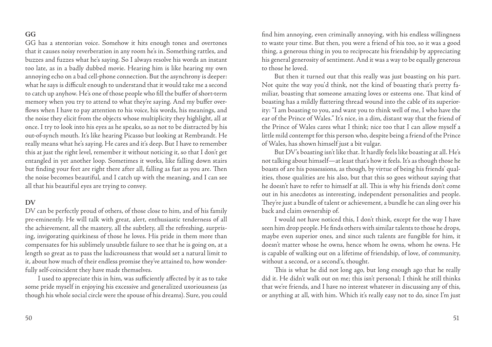## **GG**

GG has a stentorian voice. Somehow it hits enough tones and overtones that it causes noisy reverberation in any room he's in. Something rattles, and buzzes and fuzzes what he's saying. So I always resolve his words an instant too late, as in a badly dubbed movie. Hearing him is like hearing my own annoying echo on a bad cell-phone connection. But the asynchrony is deeper: what he says is difficult enough to understand that it would take me a second to catch up anyhow. He's one of those people who fill the buffer of short-term memory when you try to attend to what they're saying. And my buffer overflows when I have to pay attention to his voice, his words, his meanings, and the noise they elicit from the objects whose multiplicity they highlight, all at once. I try to look into his eyes as he speaks, so as not to be distracted by his out-of-synch mouth. It's like hearing Picasso but looking at Rembrandt. He really means what he's saying. He cares and it's deep. But I have to remember this at just the right level, remember it without noticing it, so that I don't get entangled in yet another loop. Sometimes it works, like falling down stairs but finding your feet are right there after all, falling as fast as you are. Then the noise becomes beautiful, and I catch up with the meaning, and I can see all that his beautiful eyes are trying to convey.

## **DV**

DV can be perfectly proud of others, of those close to him, and of his family pre-eminently. He will talk with great, alert, enthusiastic tenderness of all the achievement, all the mastery, all the subtlety, all the refreshing, surprising, invigorating quirkiness of those he loves. His pride in them more than compensates for his sublimely unsubtle failure to see that he is going on, at a length so great as to pass the ludicrousness that would set a natural limit to it, about how much of their endless promise they've attained to, how wonderfully self-coincident they have made themselves.

I used to appreciate this in him, was sufficiently affected by it as to take some pride myself in enjoying his excessive and generalized uxoriousness (as though his whole social circle were the spouse of his dreams). Sure, you could

find him annoying, even criminally annoying, with his endless willingness to waste your time. But then, you were a friend of his too, so it was a good thing, a generous thing in you to reciprocate his friendship by appreciating his general generosity of sentiment. And it was a way to be equally generous to those he loved.

But then it turned out that this really was just boasting on his part. Not quite the way you'd think, not the kind of boasting that's pretty familiar, boasting that someone amazing loves or esteems one. That kind of boasting has a mildly flattering thread wound into the cable of its superiority: "I am boasting to you, and want you to think well of me, I who have the ear of the Prince of Wales." It's nice, in a dim, distant way that the friend of the Prince of Wales cares what I think; nice too that I can allow myself a little mild contempt for this person who, despite being a friend of the Prince of Wales, has shown himself just a bit vulgar.

But DV's boasting isn't like that. It hardly feels like boasting at all. He's not talking about himself—at least that's how it feels. It's as though those he boasts of are his possessions, as though, by virtue of being his friends' qualities, those qualities are his also, but that this so goes without saying that he doesn't have to refer to himself at all. This is why his friends don't come out in his anecdotes as interesting, independent personalities and people. They're just a bundle of talent or achievement, a bundle he can sling over his back and claim ownership of.

I would not have noticed this, I don't think, except for the way I have seen him drop people. He finds others with similar talents to those he drops, maybe even superior ones, and since such talents are fungible for him, it doesn't matter whose he owns, hence whom he owns, whom he owns. He is capable of walking out on a lifetime of friendship, of love, of community, without a second, or a second's, thought.

This is what he did not long ago, but long enough ago that he really did it. He didn't walk out on me; this isn't personal; I think he still thinks that we're friends, and I have no interest whatever in discussing any of this, or anything at all, with him. Which it's really easy not to do, since I'm just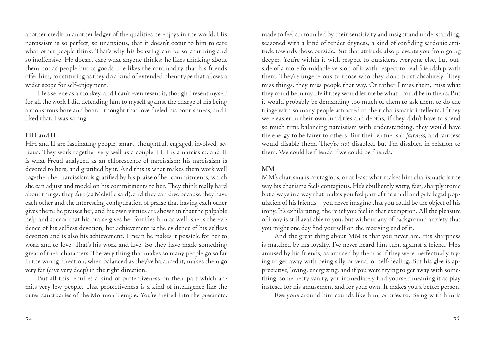another credit in another ledger of the qualities he enjoys in the world. His narcissism is so perfect, so unanxious, that it doesn't occur to him to care what other people think. That's why his boasting can be so charming and so inoffensive. He doesn't care what anyone thinks: he likes thinking about them not as people but as goods. He likes the commodity that his friends offer him, constituting as they do a kind of extended phenotype that allows a wider scope for self-enjoyment.

He's serene as a monkey, and I can't even resent it, though I resent myself for all the work I did defending him to myself against the charge of his being a monstrous bore and boor. I thought that love fueled his boorishness, and I liked that. I was wrong.

## **HH and II**

HH and II are fascinating people, smart, thoughtful, engaged, involved, serious. They work together very well as a couple: HH is a narcissist, and II is what Freud analyzed as an efflorescence of narcissism: his narcissism is devoted to hers, and gratified by it. And this is what makes them work well together: her narcissism is gratified by his praise of her commitments, which she can adjust and model on his commitments to her. They think really hard about things; they *dive* (as Melville said), and they can dive because they have each other and the interesting configuration of praise that having each other gives them: he praises her, and his own virtues are shown in that the palpable help and succor that his praise gives her fortifies him as well: she is the evidence of his selfless devotion, her achievement is the evidence of his selfless devotion and is also his achievement. I mean he makes it possible for her to work and to love. That's his work and love. So they have made something great of their characters. The very thing that makes so many people go so far in the wrong direction, when balanced as they've balanced it, makes them go very far (dive very deep) in the right direction.

But all this requires a kind of protectiveness on their part which admits very few people. That protectiveness is a kind of intelligence like the outer sanctuaries of the Mormon Temple. You're invited into the precincts,

made to feel surrounded by their sensitivity and insight and understanding, seasoned with a kind of tender dryness, a kind of confiding sardonic attitude towards those outside. But that attitude also prevents you from going deeper. You're within it with respect to outsiders, everyone else, but outside of a more formidable version of it with respect to real friendship with them. They're ungenerous to those who they don't trust absolutely. They miss things, they miss people that way. Or rather I miss them, miss what they could be in my life if they would let me be what I could be in theirs. But it would probably be demanding too much of them to ask them to do the triage with so many people attracted to their charismatic intellects. If they were easier in their own lucidities and depths, if they didn't have to spend so much time balancing narcissism with understanding, they would have the energy to be fairer to others. But their virtue isn't *fairness*, and fairness would disable them. They're *not* disabled, but I'm disabled in relation to them. We could be friends if we could be friends.

## **MM**

MM's charisma is contagious, or at least what makes him charismatic is the way his charisma feels contagious. He's ebulliently witty, fast, sharply ironic but always in a way that makes you feel part of the small and privileged population of his friends—you never imagine that you could be the object of his irony. It's exhilarating, the relief you feel in that exemption. All the pleasure of irony is still available to you, but without any of background anxiety that you might one day find yourself on the receiving end of it.

And the great thing about MM is that you never are. His sharpness is matched by his loyalty. I've never heard him turn against a friend. He's amused by his friends, as amused by them as if they were ineffectually trying to get away with being silly or venal or self-dealing. But his glee is appreciative, loving, energizing, and if you were trying to get away with something, some petty vanity, you immediately find yourself meaning it as play instead, for his amusement and for your own. It makes you a better person.

Everyone around him sounds like him, or tries to. Being with him is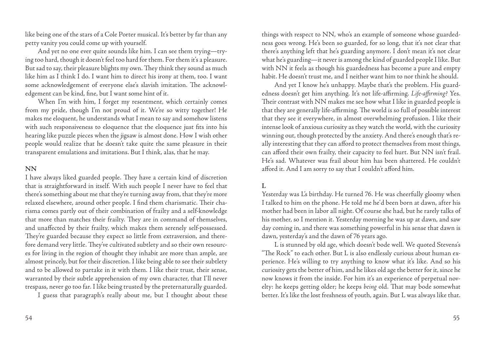like being one of the stars of a Cole Porter musical. It's better by far than any petty vanity you could come up with yourself.

And yet no one ever quite sounds like him. I can see them trying—trying too hard, though it doesn't feel too hard for them. For them it's a pleasure. But sad to say, their pleasure blights my own. They think they sound as much like him as I think I do. I want him to direct his irony at them, too. I want some acknowledgement of everyone else's slavish imitation. The acknowledgement can be kind, fine, but I want some hint of it.

When I'm with him, I forget my resentment, which certainly comes from my pride, though I'm not proud of it. We're so witty together! He makes me eloquent, he understands what I mean to say and somehow listens with such responsiveness to eloquence that the eloquence just fits into his hearing like puzzle pieces when the jigsaw is almost done. How I wish other people would realize that he doesn't take quite the same pleasure in their transparent emulations and imitations. But I think, alas, that he may.

## **NN**

I have always liked guarded people. They have a certain kind of discretion that is straightforward in itself. With such people I never have to feel that there's something about me that they're turning away from, that they're more relaxed elsewhere, around other people. I find them charismatic. Their charisma comes partly out of their combination of frailty and a self-knowledge that more than matches their frailty. They are in command of themselves, and unaffected by their frailty, which makes them serenely self-possessed. They're guarded because they expect so little from extraversion, and therefore demand very little. They've cultivated subtlety and so their own resources for living in the region of thought they inhabit are more than ample, are almost princely, but for their discretion. I like being able to see their subtlety and to be allowed to partake in it with them. I like their trust, their sense, warranted by their subtle apprehension of my own character, that I'll never trespass, never go too far. I like being trusted by the preternaturally guarded.

I guess that paragraph's really about me, but I thought about these

things with respect to NN, who's an example of someone whose guardedness goes wrong. He's been so guarded, for so long, that it's not clear that there's anything left that he's guarding anymore. I don't mean it's not clear what he's guarding—it never is among the kind of guarded people I like. But with NN it feels as though his guardedness has become a pure and empty habit. He doesn't trust me, and I neither want him to nor think he should.

And yet I know he's unhappy. Maybe that's the problem. His guardedness doesn't get him anything. It's not life-affirming. *Life-affirming*? Yes. Their contrast with NN makes me see how what I like in guarded people is that they are generally life-affirming. The world is so full of possible interest that they see it everywhere, in almost overwhelming profusion. I like their intense look of anxious curiosity as they watch the world, with the curiosity winning out, though protected by the anxiety. And there's enough that's really interesting that they can afford to protect themselves from most things, can afford their own frailty, their capacity to feel hurt. But NN isn't frail. He's sad. Whatever was frail about him has been shattered. He couldn't afford it. And I am sorry to say that I couldn't afford him.

## **L**

Yesterday was L's birthday. He turned 76. He was cheerfully gloomy when I talked to him on the phone. He told me he'd been born at dawn, after his mother had been in labor all night. Of course she had, but he rarely talks of his mother, so I mention it. Yesterday morning he was up at dawn, and saw day coming in, and there was something powerful in his sense that dawn is dawn, yesterday's and the dawn of 76 years ago.

L is stunned by old age, which doesn't bode well. We quoted Stevens's "The Rock" to each other. But L is also endlessly curious about human experience. He's willing to try anything to know what it's like. And so his curiosity gets the better of him, and he likes old age the better for it, since he now knows it from the inside. For him it's an experience of perpetual novelty: he keeps getting older; he keeps *being* old. That may bode somewhat better. It's like the lost freshness of youth, again. But L was always like that.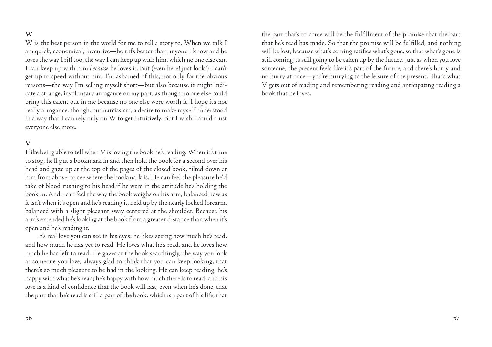## **W**

W is the best person in the world for me to tell a story to. When we talk I am quick, economical, inventive—he riffs better than anyone I know and he loves the way I riff too, the way I can keep up with him, which no one else can. I can keep up with him *because* he loves it. But (even here! just look!) I can't get up to speed without him. I'm ashamed of this, not only for the obvious reasons—the way I'm selling myself short—but also because it might indicate a strange, involuntary arrogance on my part, as though no one else could bring this talent out in me because no one else were worth it. I hope it's not really arrogance, though, but narcissism, a desire to make myself understood in a way that I can rely only on W to get intuitively. But I wish I could trust everyone else more.

#### **V**

I like being able to tell when V is loving the book he's reading. When it's time to stop, he'll put a bookmark in and then hold the book for a second over his head and gaze up at the top of the pages of the closed book, tilted down at him from above, to see where the bookmark is. He can feel the pleasure he'd take of blood rushing to his head if he were in the attitude he's holding the book in. And I can feel the way the book weighs on his arm, balanced now as it isn't when it's open and he's reading it, held up by the nearly locked forearm, balanced with a slight pleasant sway centered at the shoulder. Because his arm's extended he's looking at the book from a greater distance than when it's open and he's reading it.

It's real love you can see in his eyes: he likes seeing how much he's read, and how much he has yet to read. He loves what he's read, and he loves how much he has left to read. He gazes at the book searchingly, the way you look at someone you love, always glad to think that you can keep looking, that there's so much pleasure to be had in the looking. He can keep reading; he's happy with what he's read; he's happy with how much there is to read; and his love is a kind of confidence that the book will last, even when he's done, that the part that he's read is still a part of the book, which is a part of his life; that the part that's to come will be the fulfillment of the promise that the part that he's read has made. So that the promise will be fulfilled, and nothing will be lost, because what's coming ratifies what's gone, so that what's gone is still coming, is still going to be taken up by the future. Just as when you love someone, the present feels like it's part of the future, and there's hurry and no hurry at once—you're hurrying to the leisure of the present. That's what V gets out of reading and remembering reading and anticipating reading a book that he loves.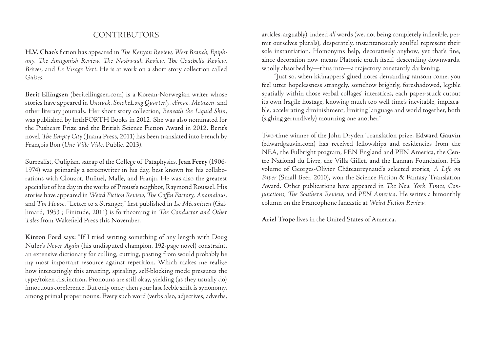## **CONTRIBUTORS**

**H.V. Chao**'s fiction has appeared in *The Kenyon Review, West Branch, Epiphany, The Antigonish Review, The Nashwaak Review, The Coachella Review, Brèves,* and *Le Visage Vert*. He is at work on a short story collection called *Guises*.

**Berit Ellingsen** (beritellingsen.com) is a Korean-Norwegian writer whose stories have appeared in *Unstuck, SmokeLong Quarterly, elimae, Metazen,* and other literary journals. Her short story collection, *Beneath the Liquid Skin*, was published by firthFORTH Books in 2012. She was also nominated for the Pushcart Prize and the British Science Fiction Award in 2012. Berit's novel, *The Empty City* (Jnana Press, 2011) has been translated into French by François Bon (*Une Ville Vide*, Publie, 2013).

Surrealist, Oulipian, satrap of the College of 'Pataphysics, **Jean Ferry** (1906- 1974) was primarily a screenwriter in his day, best known for his collaborations with Clouzot, Buñuel, Malle, and Franju. He was also the greatest specialist of his day in the works of Proust's neighbor, Raymond Roussel. His stories have appeared in *Weird Fiction Review, The Coffin Factory, Anomalous,*  and *Tin House*. "Letter to a Stranger," first published in *Le Mécanicien* (Gallimard, 1953 ; Finitude, 2011) is forthcoming in *The Conductor and Other Tales* from Wakefield Press this November.

**Kinton Ford** says: "If I tried writing something of any length with Doug Nufer's *Never Again* (his undisputed champion, 192-page novel) constraint, an extensive dictionary for culling, cutting, pasting from would probably be my most important resource against repetition. Which makes me realize how interestingly this amazing, spiraling, self-blocking mode pressures the type/token distinction. Pronouns are still okay, yielding (as they usually do) innocuous coreference. But only once; then your last feeble shift is synonomy, among primal proper nouns. Every such word (verbs also, adjectives, adverbs,

articles, arguably), indeed *all* words (we, not being completely inflexible, permit ourselves plurals), desperately, instantaneously soulful represent their sole instantiation. Homonyms help, decoratively anyhow, yet that's fine, since decoration now means Platonic truth itself, descending downwards, wholly absorbed by—thus into—a trajectory constantly darkening.

"Just so, when kidnappers' glued notes demanding ransom come, you feel utter hopelessness strangely, somehow brightly, foreshadowed, legible spatially within those verbal collages' interstices, each paper-stuck cutout its own fragile hostage, knowing much too well time's inevitable, implacable, accelerating diminishment, limiting language and world together, both (sighing gerundively) mourning one another."

Two-time winner of the John Dryden Translation prize, **Edward Gauvin**  (edwardgauvin.com) has received fellowships and residencies from the NEA, the Fulbright program, PEN England and PEN America, the Centre National du Livre, the Villa Gillet, and the Lannan Foundation. His volume of Georges-Olivier Châteaureynaud's selected stories, *A Life on Paper* (Small Beer, 2010), won the Science Fiction & Fantasy Translation Award. Other publications have appeared in *The New York Times, Conjunctions, The Southern Review,* and *PEN America*. He writes a bimonthly column on the Francophone fantastic at *Weird Fiction Review*.

**Ariel Trope** lives in the United States of America.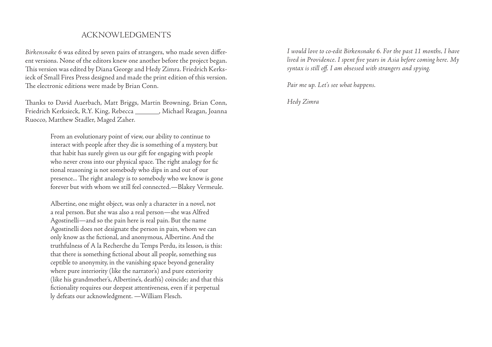## Acknowledgments

*Birkensnake 6* was edited by seven pairs of strangers, who made seven different versions. None of the editors knew one another before the project began. This version was edited by Diana George and Hedy Zimra. Friedrich Kerksieck of Small Fires Press designed and made the print edition of this version. The electronic editions were made by Brian Conn.

Thanks to David Auerbach, Matt Briggs, Martin Browning, Brian Conn, Friedrich Kerksieck, R.Y. King, Rebecca \_\_\_\_\_\_\_, Michael Reagan, Joanna Ruocco, Matthew Stadler, Maged Zaher.

> From an evolutionary point of view, our ability to continue to interact with people after they die is something of a mystery, but that habit has surely given us our gift for engaging with people who never cross into our physical space. The right analogy for fic tional reasoning is not somebody who dips in and out of our presence... The right analogy is to somebody who we know is gone forever but with whom we still feel connected.—Blakey Vermeule.

> Albertine, one might object, was only a character in a novel, not a real person. But she was also a real person—she was Alfred Agostinelli—and so the pain here is real pain. But the name Agostinelli does not designate the person in pain, whom we can only know as the fictional, and anonymous, Albertine. And the truthfulness of A la Recherche du Temps Perdu, its lesson, is this: that there is something fictional about all people, something sus ceptible to anonymity, in the vanishing space beyond generality where pure interiority (like the narrator's) and pure exteriority (like his grandmother's, Albertine's, death's) coincide; and that this fictionality requires our deepest attentiveness, even if it perpetual ly defeats our acknowledgment. —William Flesch.

*I would love to co-edit Birkensnake 6. For the past 11 months, I have lived in Providence. I spent five years in Asia before coming here. My syntax is still off. I am obsessed with strangers and spying.* 

*Pair me up. Let's see what happens.*

*Hedy Zimra*